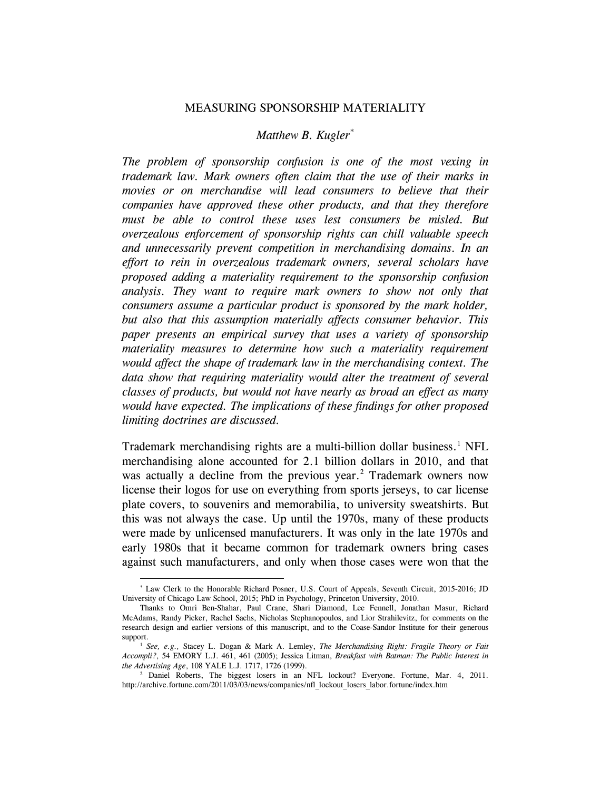#### MEASURING SPONSORSHIP MATERIALITY

### *Matthew B. Kugler*[\\*](#page-0-0)

*The problem of sponsorship confusion is one of the most vexing in trademark law. Mark owners often claim that the use of their marks in movies or on merchandise will lead consumers to believe that their companies have approved these other products, and that they therefore must be able to control these uses lest consumers be misled. But overzealous enforcement of sponsorship rights can chill valuable speech and unnecessarily prevent competition in merchandising domains. In an effort to rein in overzealous trademark owners, several scholars have proposed adding a materiality requirement to the sponsorship confusion analysis. They want to require mark owners to show not only that consumers assume a particular product is sponsored by the mark holder, but also that this assumption materially affects consumer behavior. This paper presents an empirical survey that uses a variety of sponsorship materiality measures to determine how such a materiality requirement would affect the shape of trademark law in the merchandising context. The data show that requiring materiality would alter the treatment of several classes of products, but would not have nearly as broad an effect as many would have expected. The implications of these findings for other proposed limiting doctrines are discussed.*

<span id="page-0-3"></span>Trademark merchandising rights are a multi-billion dollar business.<sup>[1](#page-0-1)</sup> NFL merchandising alone accounted for 2.1 billion dollars in 2010, and that was actually a decline from the previous year.<sup>[2](#page-0-2)</sup> Trademark owners now license their logos for use on everything from sports jerseys, to car license plate covers, to souvenirs and memorabilia, to university sweatshirts. But this was not always the case. Up until the 1970s, many of these products were made by unlicensed manufacturers. It was only in the late 1970s and early 1980s that it became common for trademark owners bring cases against such manufacturers, and only when those cases were won that the

<span id="page-0-0"></span> <sup>\*</sup> Law Clerk to the Honorable Richard Posner, U.S. Court of Appeals, Seventh Circuit, 2015-2016; JD University of Chicago Law School, 2015; PhD in Psychology, Princeton University, 2010.

Thanks to Omri Ben-Shahar, Paul Crane, Shari Diamond, Lee Fennell, Jonathan Masur, Richard McAdams, Randy Picker, Rachel Sachs, Nicholas Stephanopoulos, and Lior Strahilevitz, for comments on the research design and earlier versions of this manuscript, and to the Coase-Sandor Institute for their generous support.

<span id="page-0-1"></span><sup>1</sup> *See, e.g.,* Stacey L. Dogan & Mark A. Lemley, *The Merchandising Right: Fragile Theory or Fait Accompli?*, 54 EMORY L.J. 461, 461 (2005); Jessica Litman, *Breakfast with Batman: The Public Interest in the Advertising Age*, 108 YALE L.J. 1717, 1726 (1999).

<span id="page-0-2"></span><sup>2</sup> Daniel Roberts, The biggest losers in an NFL lockout? Everyone. Fortune, Mar. 4, 2011. http://archive.fortune.com/2011/03/03/news/companies/nfl\_lockout\_losers\_labor.fortune/index.htm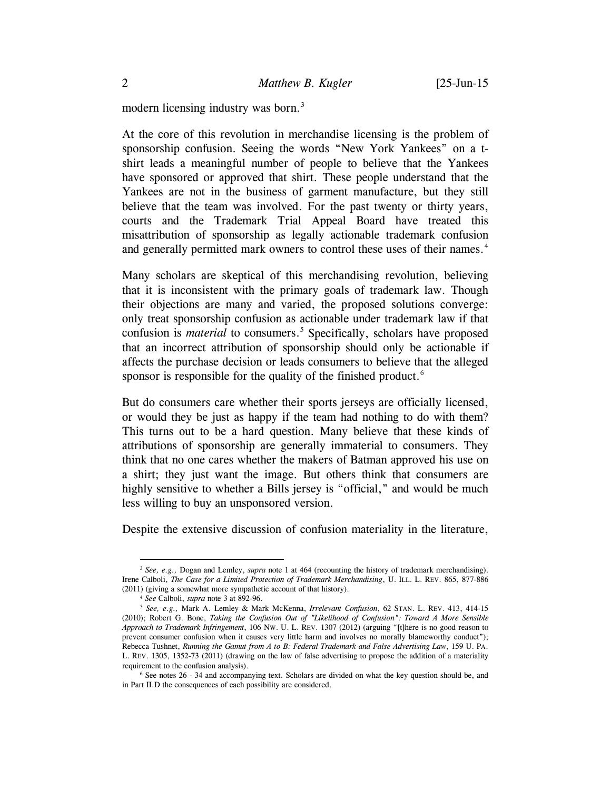<span id="page-1-0"></span>modern licensing industry was born.<sup>[3](#page-1-1)</sup>

At the core of this revolution in merchandise licensing is the problem of sponsorship confusion. Seeing the words "New York Yankees" on a tshirt leads a meaningful number of people to believe that the Yankees have sponsored or approved that shirt. These people understand that the Yankees are not in the business of garment manufacture, but they still believe that the team was involved. For the past twenty or thirty years, courts and the Trademark Trial Appeal Board have treated this misattribution of sponsorship as legally actionable trademark confusion and generally permitted mark owners to control these uses of their names.<sup>[4](#page-1-2)</sup>

<span id="page-1-5"></span>Many scholars are skeptical of this merchandising revolution, believing that it is inconsistent with the primary goals of trademark law. Though their objections are many and varied, the proposed solutions converge: only treat sponsorship confusion as actionable under trademark law if that confusion is *material* to consumers.<sup>[5](#page-1-3)</sup> Specifically, scholars have proposed that an incorrect attribution of sponsorship should only be actionable if affects the purchase decision or leads consumers to believe that the alleged sponsor is responsible for the quality of the finished product.<sup>[6](#page-1-4)</sup>

But do consumers care whether their sports jerseys are officially licensed, or would they be just as happy if the team had nothing to do with them? This turns out to be a hard question. Many believe that these kinds of attributions of sponsorship are generally immaterial to consumers. They think that no one cares whether the makers of Batman approved his use on a shirt; they just want the image. But others think that consumers are highly sensitive to whether a Bills jersey is "official," and would be much less willing to buy an unsponsored version.

Despite the extensive discussion of confusion materiality in the literature,

<span id="page-1-1"></span> <sup>3</sup> *See, e.g.,* Dogan and Lemley, *supra* note [1](#page-0-3) at 464 (recounting the history of trademark merchandising). Irene Calboli, *The Case for a Limited Protection of Trademark Merchandising*, U. ILL. L. REV. 865, 877-886 (2011) (giving a somewhat more sympathetic account of that history).

<sup>4</sup> *See* Calboli, *supra* note [3](#page-1-0) at 892-96.

<span id="page-1-3"></span><span id="page-1-2"></span><sup>5</sup> *See, e.g.,* Mark A. Lemley & Mark McKenna, *Irrelevant Confusion*, 62 STAN. L. REV. 413, 414-15 (2010); Robert G. Bone, *Taking the Confusion Out of "Likelihood of Confusion": Toward A More Sensible Approach to Trademark Infringement*, 106 NW. U. L. REV. 1307 (2012) (arguing "[t]here is no good reason to prevent consumer confusion when it causes very little harm and involves no morally blameworthy conduct"); Rebecca Tushnet, *Running the Gamut from A to B: Federal Trademark and False Advertising Law*, 159 U. PA. L. REV. 1305, 1352-73 (2011) (drawing on the law of false advertising to propose the addition of a materiality requirement to the confusion analysis).

<span id="page-1-4"></span><sup>6</sup> See notes [26](#page-6-0) - [34](#page-8-0) and accompanying text. Scholars are divided on what the key question should be, and in Part II.D the consequences of each possibility are considered.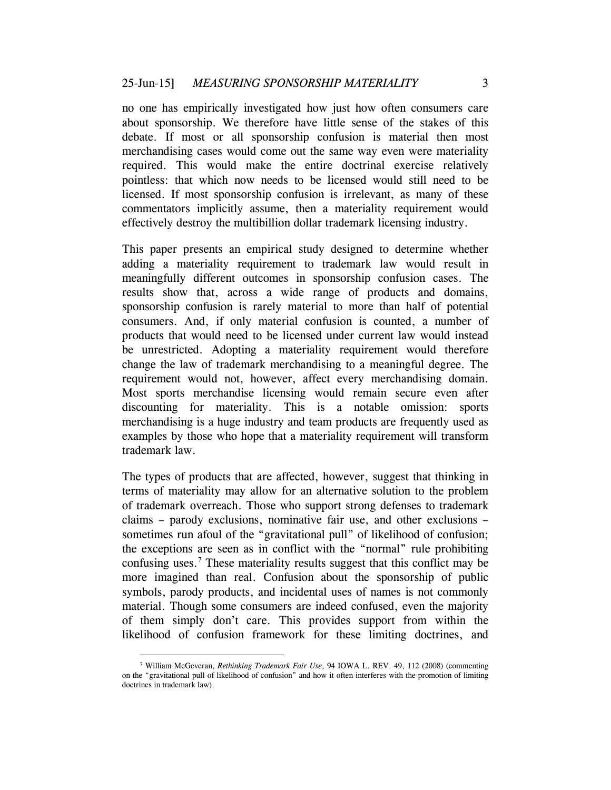no one has empirically investigated how just how often consumers care about sponsorship. We therefore have little sense of the stakes of this debate. If most or all sponsorship confusion is material then most merchandising cases would come out the same way even were materiality required. This would make the entire doctrinal exercise relatively pointless: that which now needs to be licensed would still need to be licensed. If most sponsorship confusion is irrelevant, as many of these commentators implicitly assume, then a materiality requirement would effectively destroy the multibillion dollar trademark licensing industry.

This paper presents an empirical study designed to determine whether adding a materiality requirement to trademark law would result in meaningfully different outcomes in sponsorship confusion cases. The results show that, across a wide range of products and domains, sponsorship confusion is rarely material to more than half of potential consumers. And, if only material confusion is counted, a number of products that would need to be licensed under current law would instead be unrestricted. Adopting a materiality requirement would therefore change the law of trademark merchandising to a meaningful degree. The requirement would not, however, affect every merchandising domain. Most sports merchandise licensing would remain secure even after discounting for materiality. This is a notable omission: sports merchandising is a huge industry and team products are frequently used as examples by those who hope that a materiality requirement will transform trademark law.

<span id="page-2-1"></span>The types of products that are affected, however, suggest that thinking in terms of materiality may allow for an alternative solution to the problem of trademark overreach. Those who support strong defenses to trademark claims – parody exclusions, nominative fair use, and other exclusions – sometimes run afoul of the "gravitational pull" of likelihood of confusion; the exceptions are seen as in conflict with the "normal" rule prohibiting confusing uses. [7](#page-2-0) These materiality results suggest that this conflict may be more imagined than real. Confusion about the sponsorship of public symbols, parody products, and incidental uses of names is not commonly material. Though some consumers are indeed confused, even the majority of them simply don't care. This provides support from within the likelihood of confusion framework for these limiting doctrines, and

<span id="page-2-0"></span> <sup>7</sup> William McGeveran, *Rethinking Trademark Fair Use*, 94 IOWA L. REV. 49, 112 (2008) (commenting on the "gravitational pull of likelihood of confusion" and how it often interferes with the promotion of limiting doctrines in trademark law).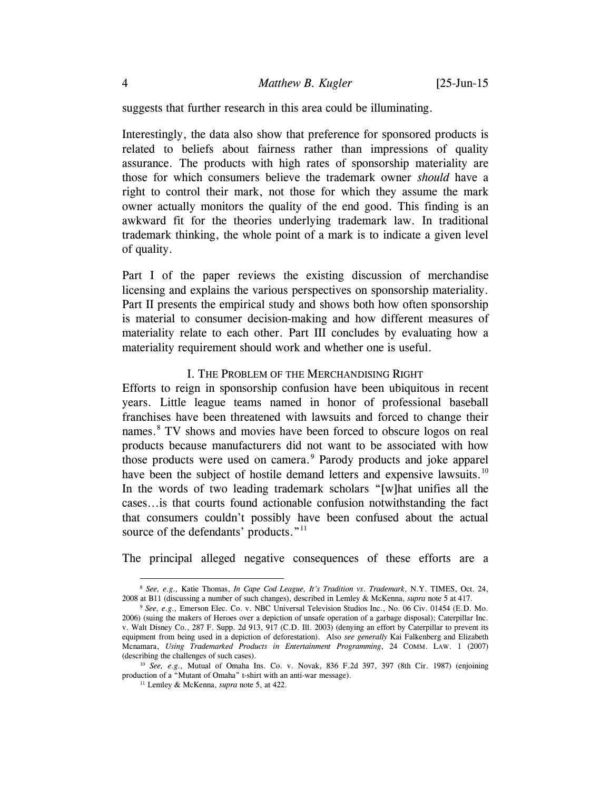suggests that further research in this area could be illuminating.

Interestingly, the data also show that preference for sponsored products is related to beliefs about fairness rather than impressions of quality assurance. The products with high rates of sponsorship materiality are those for which consumers believe the trademark owner *should* have a right to control their mark, not those for which they assume the mark owner actually monitors the quality of the end good. This finding is an awkward fit for the theories underlying trademark law. In traditional trademark thinking, the whole point of a mark is to indicate a given level of quality.

Part I of the paper reviews the existing discussion of merchandise licensing and explains the various perspectives on sponsorship materiality. Part II presents the empirical study and shows both how often sponsorship is material to consumer decision-making and how different measures of materiality relate to each other. Part III concludes by evaluating how a materiality requirement should work and whether one is useful.

#### I. THE PROBLEM OF THE MERCHANDISING RIGHT

Efforts to reign in sponsorship confusion have been ubiquitous in recent years. Little league teams named in honor of professional baseball franchises have been threatened with lawsuits and forced to change their names.<sup>[8](#page-3-0)</sup> TV shows and movies have been forced to obscure logos on real products because manufacturers did not want to be associated with how those products were used on camera.<sup>[9](#page-3-1)</sup> Parody products and joke apparel have been the subject of hostile demand letters and expensive lawsuits.<sup>[10](#page-3-2)</sup> In the words of two leading trademark scholars "[w]hat unifies all the cases...is that courts found actionable confusion notwithstanding the fact that consumers couldn't possibly have been confused about the actual source of the defendants' products."<sup>[11](#page-3-3)</sup>

The principal alleged negative consequences of these efforts are a

<span id="page-3-0"></span> <sup>8</sup> *See, e.g.,* Katie Thomas, *In Cape Cod League, It's Tradition vs*. *Trademark*, N.Y. TIMES, Oct. 24, 2008 at B11 (discussing a number of such changes), described in Lemley & McKenna, *supra* not[e 5](#page-1-5) at 417.

<span id="page-3-1"></span><sup>9</sup> *See, e.g.,* Emerson Elec. Co. v. NBC Universal Television Studios Inc., No. 06 Civ. 01454 (E.D. Mo. 2006) (suing the makers of Heroes over a depiction of unsafe operation of a garbage disposal); Caterpillar Inc. v. Walt Disney Co., 287 F. Supp. 2d 913, 917 (C.D. Ill. 2003) (denying an effort by Caterpillar to prevent its equipment from being used in a depiction of deforestation). Also *see generally* Kai Falkenberg and Elizabeth Mcnamara, *Using Trademarked Products in Entertainment Programming*, 24 COMM. LAW. 1 (2007) (describing the challenges of such cases).

<span id="page-3-3"></span><span id="page-3-2"></span><sup>10</sup> *See, e.g.,* Mutual of Omaha Ins. Co. v. Novak, 836 F.2d 397, 397 (8th Cir. 1987) (enjoining production of a "Mutant of Omaha" t-shirt with an anti-war message).

<sup>11</sup> Lemley & McKenna, *supra* note [5,](#page-1-5) at 422.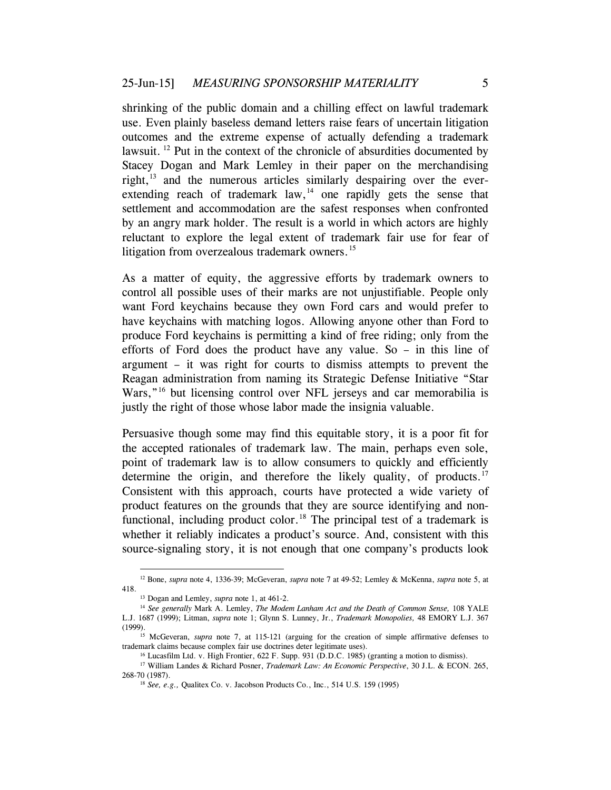shrinking of the public domain and a chilling effect on lawful trademark use. Even plainly baseless demand letters raise fears of uncertain litigation outcomes and the extreme expense of actually defending a trademark lawsuit. <sup>[12](#page-4-0)</sup> Put in the context of the chronicle of absurdities documented by Stacey Dogan and Mark Lemley in their paper on the merchandising right, $^{13}$  $^{13}$  $^{13}$  and the numerous articles similarly despairing over the everextending reach of trademark law,  $14$  one rapidly gets the sense that settlement and accommodation are the safest responses when confronted by an angry mark holder. The result is a world in which actors are highly reluctant to explore the legal extent of trademark fair use for fear of litigation from overzealous trademark owners.<sup>[15](#page-4-3)</sup>

As a matter of equity, the aggressive efforts by trademark owners to control all possible uses of their marks are not unjustifiable. People only want Ford keychains because they own Ford cars and would prefer to have keychains with matching logos. Allowing anyone other than Ford to produce Ford keychains is permitting a kind of free riding; only from the efforts of Ford does the product have any value. So – in this line of argument – it was right for courts to dismiss attempts to prevent the Reagan administration from naming its Strategic Defense Initiative "Star Wars,"<sup>[16](#page-4-4)</sup> but licensing control over NFL jerseys and car memorabilia is justly the right of those whose labor made the insignia valuable.

Persuasive though some may find this equitable story, it is a poor fit for the accepted rationales of trademark law. The main, perhaps even sole, point of trademark law is to allow consumers to quickly and efficiently determine the origin, and therefore the likely quality, of products.<sup>[17](#page-4-5)</sup> Consistent with this approach, courts have protected a wide variety of product features on the grounds that they are source identifying and non-functional, including product color.<sup>[18](#page-4-6)</sup> The principal test of a trademark is whether it reliably indicates a product's source. And, consistent with this source-signaling story, it is not enough that one company's products look

<span id="page-4-0"></span> <sup>12</sup> Bone, *supra* note 4, 1336-39; McGeveran, *supra* note [7](#page-2-1) at 49-52; Lemley & McKenna, *supra* not[e 5,](#page-1-5) at 418.

<sup>13</sup> Dogan and Lemley, *supra* not[e 1,](#page-0-3) at 461-2.

<span id="page-4-2"></span><span id="page-4-1"></span><sup>14</sup> *See generally* Mark A. Lemley, *The Modem Lanham Act and the Death of Common Sense,* 108 YALE L.J. 1687 (1999); Litman, *supra* note [1;](#page-0-3) Glynn S. Lunney, Jr., *Trademark Monopolies,* 48 EMORY L.J. 367 (1999).15 McGeveran, *supra* note [7,](#page-2-1) at 115-121 (arguing for the creation of simple affirmative defenses to

<span id="page-4-3"></span>trademark claims because complex fair use doctrines deter legitimate uses).

<sup>16</sup> Lucasfilm Ltd. v. High Frontier, 622 F. Supp. 931 (D.D.C. 1985) (granting a motion to dismiss).

<span id="page-4-6"></span><span id="page-4-5"></span><span id="page-4-4"></span><sup>17</sup> William Landes & Richard Posner, *Trademark Law: An Economic Perspective*, 30 J.L. & ECON. 265, 268-70 (1987).

<sup>18</sup> *See, e.g.,* Qualitex Co. v. Jacobson Products Co., Inc., 514 U.S. 159 (1995)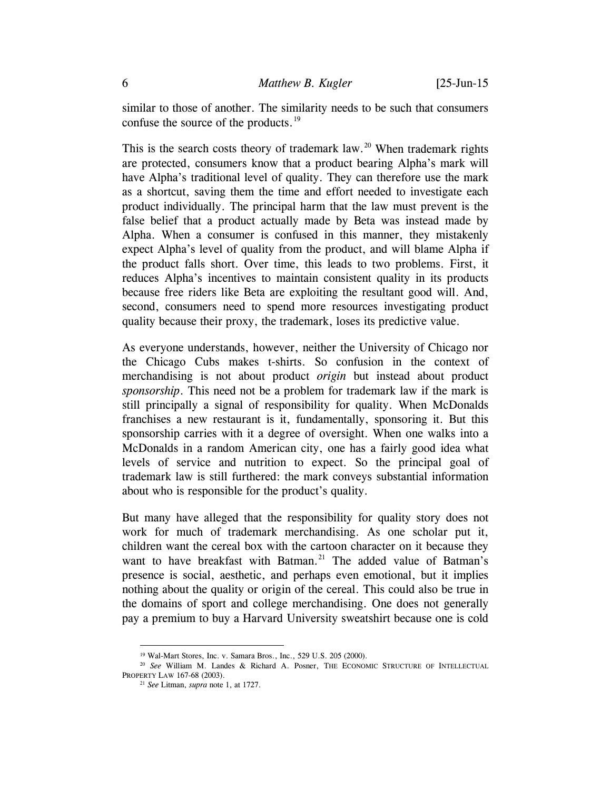similar to those of another. The similarity needs to be such that consumers confuse the source of the products.<sup>[19](#page-5-0)</sup>

This is the search costs theory of trademark law.<sup>[20](#page-5-1)</sup> When trademark rights are protected, consumers know that a product bearing Alpha's mark will have Alpha's traditional level of quality. They can therefore use the mark as a shortcut, saving them the time and effort needed to investigate each product individually. The principal harm that the law must prevent is the false belief that a product actually made by Beta was instead made by Alpha. When a consumer is confused in this manner, they mistakenly expect Alpha's level of quality from the product, and will blame Alpha if the product falls short. Over time, this leads to two problems. First, it reduces Alpha's incentives to maintain consistent quality in its products because free riders like Beta are exploiting the resultant good will. And, second, consumers need to spend more resources investigating product quality because their proxy, the trademark, loses its predictive value.

As everyone understands, however, neither the University of Chicago nor the Chicago Cubs makes t-shirts. So confusion in the context of merchandising is not about product *origin* but instead about product *sponsorship*. This need not be a problem for trademark law if the mark is still principally a signal of responsibility for quality. When McDonalds franchises a new restaurant is it, fundamentally, sponsoring it. But this sponsorship carries with it a degree of oversight. When one walks into a McDonalds in a random American city, one has a fairly good idea what levels of service and nutrition to expect. So the principal goal of trademark law is still furthered: the mark conveys substantial information about who is responsible for the product's quality.

But many have alleged that the responsibility for quality story does not work for much of trademark merchandising. As one scholar put it, children want the cereal box with the cartoon character on it because they want to have breakfast with Batman.<sup>[21](#page-5-2)</sup> The added value of Batman's presence is social, aesthetic, and perhaps even emotional, but it implies nothing about the quality or origin of the cereal. This could also be true in the domains of sport and college merchandising. One does not generally pay a premium to buy a Harvard University sweatshirt because one is cold

 <sup>19</sup> Wal-Mart Stores, Inc. v. Samara Bros., Inc., 529 U.S. 205 (2000).

<span id="page-5-2"></span><span id="page-5-1"></span><span id="page-5-0"></span><sup>20</sup> *See* William M. Landes & Richard A. Posner, THE ECONOMIC STRUCTURE OF INTELLECTUAL PROPERTY LAW 167-68 (2003).

<sup>21</sup> *See* Litman, *supra* note [1,](#page-0-3) at 1727.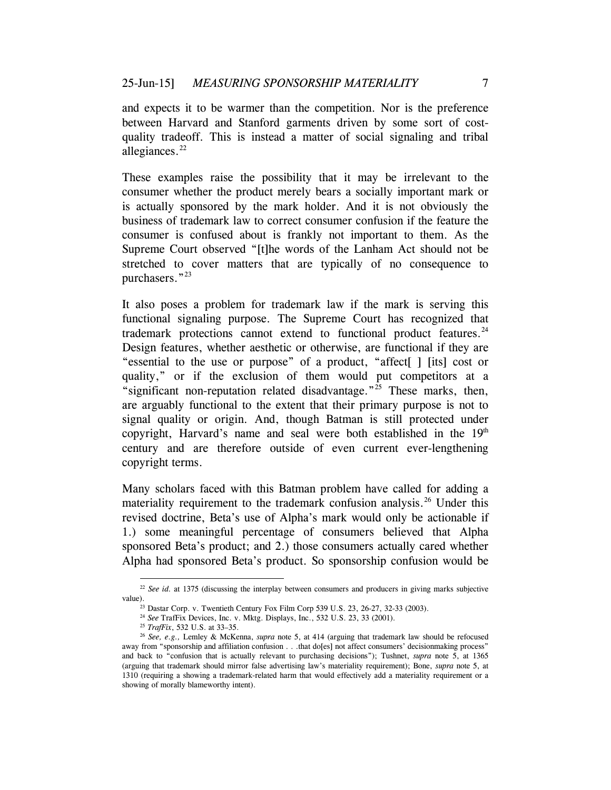and expects it to be warmer than the competition. Nor is the preference between Harvard and Stanford garments driven by some sort of costquality tradeoff. This is instead a matter of social signaling and tribal allegiances. $^{22}$  $^{22}$  $^{22}$ 

These examples raise the possibility that it may be irrelevant to the consumer whether the product merely bears a socially important mark or is actually sponsored by the mark holder. And it is not obviously the business of trademark law to correct consumer confusion if the feature the consumer is confused about is frankly not important to them. As the Supreme Court observed "[t]he words of the Lanham Act should not be stretched to cover matters that are typically of no consequence to purchasers."<sup>[23](#page-6-2)</sup>

It also poses a problem for trademark law if the mark is serving this functional signaling purpose. The Supreme Court has recognized that trademark protections cannot extend to functional product features. $^{24}$  $^{24}$  $^{24}$ Design features, whether aesthetic or otherwise, are functional if they are "essential to the use or purpose" of a product, "affect[ ] [its] cost or quality," or if the exclusion of them would put competitors at a "significant non-reputation related disadvantage."<sup>[25](#page-6-4)</sup> These marks, then, are arguably functional to the extent that their primary purpose is not to signal quality or origin. And, though Batman is still protected under copyright, Harvard's name and seal were both established in the  $19<sup>th</sup>$ century and are therefore outside of even current ever-lengthening copyright terms.

<span id="page-6-0"></span>Many scholars faced with this Batman problem have called for adding a materiality requirement to the trademark confusion analysis.<sup>[26](#page-6-5)</sup> Under this revised doctrine, Beta's use of Alpha's mark would only be actionable if 1.) some meaningful percentage of consumers believed that Alpha sponsored Beta's product; and 2.) those consumers actually cared whether Alpha had sponsored Beta's product. So sponsorship confusion would be

<span id="page-6-2"></span><span id="page-6-1"></span><sup>&</sup>lt;sup>22</sup> *See id.* at 1375 (discussing the interplay between consumers and producers in giving marks subjective value).<br><sup>23</sup> Dastar Corp. v. Twentieth Century Fox Film Corp 539 U.S. 23, 26-27, 32-33 (2003).

<sup>24</sup> *See* TrafFix Devices, Inc. v. Mktg. Displays, Inc., 532 U.S. 23, 33 (2001).

<sup>25</sup> *TrafFix*, 532 U.S. at 33–35.

<span id="page-6-5"></span><span id="page-6-4"></span><span id="page-6-3"></span><sup>26</sup> *See, e.g.,* Lemley & McKenna, *supra* note [5,](#page-1-5) at 414 (arguing that trademark law should be refocused away from "sponsorship and affiliation confusion . . .that do[es] not affect consumers' decisionmaking process" and back to "confusion that is actually relevant to purchasing decisions"); Tushnet, *supra* note [5,](#page-1-5) at 1365 (arguing that trademark should mirror false advertising law's materiality requirement); Bone, *supra* note [5,](#page-1-5) at 1310 (requiring a showing a trademark-related harm that would effectively add a materiality requirement or a showing of morally blameworthy intent).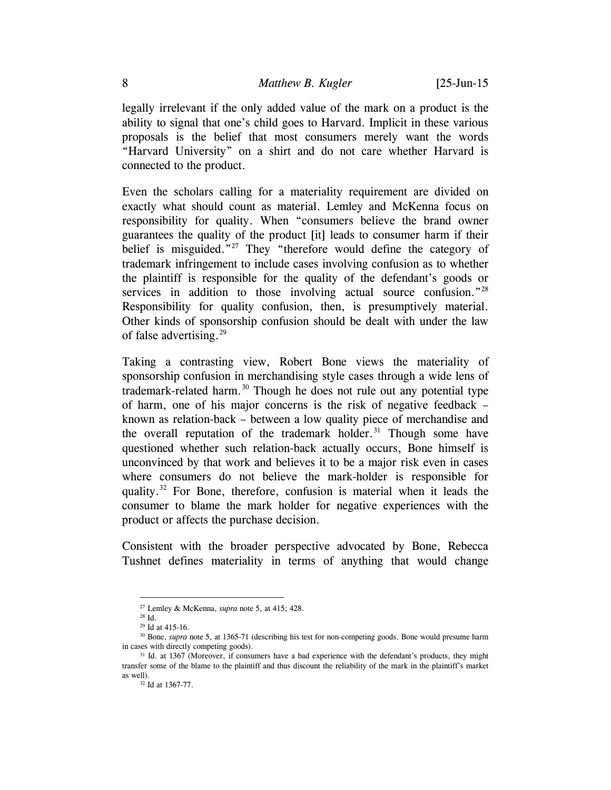legally irrelevant if the only added value of the mark on a product is the ability to signal that one's child goes to Harvard. Implicit in these various proposals is the belief that most consumers merely want the words "Harvard University" on a shirt and do not care whether Harvard is connected to the product.

<span id="page-7-6"></span>Even the scholars calling for a materiality requirement are divided on exactly what should count as material. Lemley and McKenna focus on responsibility for quality. When "consumers believe the brand owner guarantees the quality of the product [it] leads to consumer harm if their belief is misguided."<sup>[27](#page-7-0)</sup> They "therefore would define the category of trademark infringement to include cases involving confusion as to whether the plaintiff is responsible for the quality of the defendant's goods or services in addition to those involving actual source confusion.<sup>"[28](#page-7-1)</sup> Responsibility for quality confusion, then, is presumptively material. Other kinds of sponsorship confusion should be dealt with under the law of false advertising. $^{29}$  $^{29}$  $^{29}$ 

Taking a contrasting view, Robert Bone views the materiality of sponsorship confusion in merchandising style cases through a wide lens of trademark-related harm.<sup>[30](#page-7-3)</sup> Though he does not rule out any potential type of harm, one of his major concerns is the risk of negative feedback – known as relation-back – between a low quality piece of merchandise and the overall reputation of the trademark holder.<sup>[31](#page-7-4)</sup> Though some have questioned whether such relation-back actually occurs, Bone himself is unconvinced by that work and believes it to be a major risk even in cases where consumers do not believe the mark-holder is responsible for quality.[32](#page-7-5) For Bone, therefore, confusion is material when it leads the consumer to blame the mark holder for negative experiences with the product or affects the purchase decision.

Consistent with the broader perspective advocated by Bone, Rebecca Tushnet defines materiality in terms of anything that would change

 <sup>27</sup> Lemley & McKenna, *supra* note [5,](#page-1-5) at 415; 428.

<sup>28</sup> Id.

<sup>29</sup> Id at 415-16.

<span id="page-7-3"></span><span id="page-7-2"></span><span id="page-7-1"></span><span id="page-7-0"></span><sup>&</sup>lt;sup>30</sup> Bone, *supra* note [5,](#page-1-5) at 1365-71 (describing his test for non-competing goods. Bone would presume harm in cases with directly competing goods).

<span id="page-7-5"></span><span id="page-7-4"></span><sup>&</sup>lt;sup>31</sup> Id. at 1367 (Moreover, if consumers have a bad experience with the defendant's products, they might transfer some of the blame to the plaintiff and thus discount the reliability of the mark in the plaintiff's market as well).

<sup>32</sup> Id at 1367-77.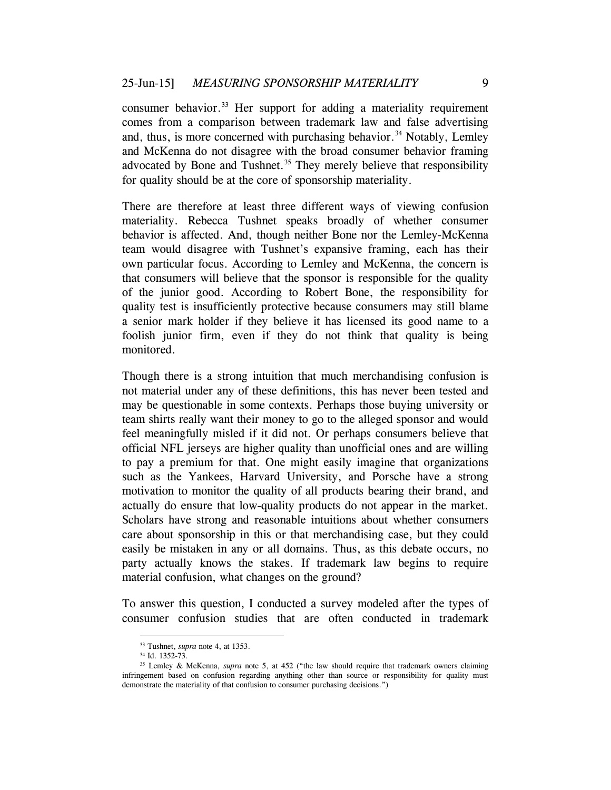<span id="page-8-0"></span>consumer behavior.<sup>[33](#page-8-1)</sup> Her support for adding a materiality requirement comes from a comparison between trademark law and false advertising and, thus, is more concerned with purchasing behavior.<sup>[34](#page-8-2)</sup> Notably, Lemley and McKenna do not disagree with the broad consumer behavior framing advocated by Bone and Tushnet. $35$  They merely believe that responsibility for quality should be at the core of sponsorship materiality.

<span id="page-8-4"></span>There are therefore at least three different ways of viewing confusion materiality. Rebecca Tushnet speaks broadly of whether consumer behavior is affected. And, though neither Bone nor the Lemley-McKenna team would disagree with Tushnet's expansive framing, each has their own particular focus. According to Lemley and McKenna, the concern is that consumers will believe that the sponsor is responsible for the quality of the junior good. According to Robert Bone, the responsibility for quality test is insufficiently protective because consumers may still blame a senior mark holder if they believe it has licensed its good name to a foolish junior firm, even if they do not think that quality is being monitored.

Though there is a strong intuition that much merchandising confusion is not material under any of these definitions, this has never been tested and may be questionable in some contexts. Perhaps those buying university or team shirts really want their money to go to the alleged sponsor and would feel meaningfully misled if it did not. Or perhaps consumers believe that official NFL jerseys are higher quality than unofficial ones and are willing to pay a premium for that. One might easily imagine that organizations such as the Yankees, Harvard University, and Porsche have a strong motivation to monitor the quality of all products bearing their brand, and actually do ensure that low-quality products do not appear in the market. Scholars have strong and reasonable intuitions about whether consumers care about sponsorship in this or that merchandising case, but they could easily be mistaken in any or all domains. Thus, as this debate occurs, no party actually knows the stakes. If trademark law begins to require material confusion, what changes on the ground?

To answer this question, I conducted a survey modeled after the types of consumer confusion studies that are often conducted in trademark

 <sup>33</sup> Tushnet, *supra* note 4, at 1353.

<sup>34</sup> Id. 1352-73.

<span id="page-8-3"></span><span id="page-8-2"></span><span id="page-8-1"></span><sup>35</sup> Lemley & McKenna, *supra* note [5,](#page-1-5) at 452 ("the law should require that trademark owners claiming infringement based on confusion regarding anything other than source or responsibility for quality must demonstrate the materiality of that confusion to consumer purchasing decisions.")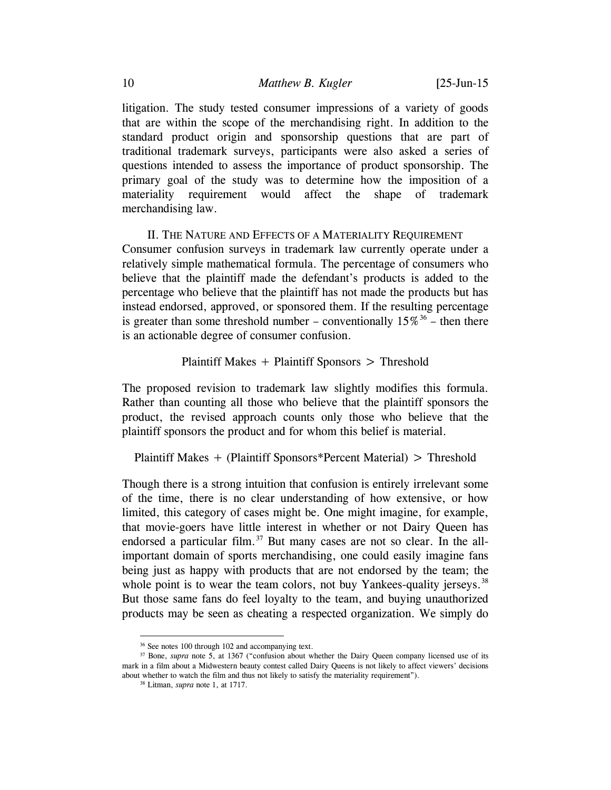litigation. The study tested consumer impressions of a variety of goods that are within the scope of the merchandising right. In addition to the standard product origin and sponsorship questions that are part of traditional trademark surveys, participants were also asked a series of questions intended to assess the importance of product sponsorship. The primary goal of the study was to determine how the imposition of a materiality requirement would affect the shape of trademark merchandising law.

## II. THE NATURE AND EFFECTS OF A MATERIALITY REQUIREMENT

Consumer confusion surveys in trademark law currently operate under a relatively simple mathematical formula. The percentage of consumers who believe that the plaintiff made the defendant's products is added to the percentage who believe that the plaintiff has not made the products but has instead endorsed, approved, or sponsored them. If the resulting percentage is greater than some threshold number – conventionally  $15\%^{36}$  $15\%^{36}$  $15\%^{36}$  – then there is an actionable degree of consumer confusion.

### Plaintiff Makes + Plaintiff Sponsors > Threshold

The proposed revision to trademark law slightly modifies this formula. Rather than counting all those who believe that the plaintiff sponsors the product, the revised approach counts only those who believe that the plaintiff sponsors the product and for whom this belief is material.

Plaintiff Makes + (Plaintiff Sponsors\*Percent Material) > Threshold

Though there is a strong intuition that confusion is entirely irrelevant some of the time, there is no clear understanding of how extensive, or how limited, this category of cases might be. One might imagine, for example, that movie-goers have little interest in whether or not Dairy Queen has endorsed a particular film.<sup>[37](#page-9-1)</sup> But many cases are not so clear. In the allimportant domain of sports merchandising, one could easily imagine fans being just as happy with products that are not endorsed by the team; the whole point is to wear the team colors, not buy Yankees-quality jerseys.<sup>[38](#page-9-2)</sup> But those same fans do feel loyalty to the team, and buying unauthorized products may be seen as cheating a respected organization. We simply do

 <sup>36</sup> See note[s 100](#page-25-0) throug[h 102](#page-26-0) and accompanying text.

<span id="page-9-2"></span><span id="page-9-1"></span><span id="page-9-0"></span><sup>&</sup>lt;sup>37</sup> Bone, *supra* note [5,](#page-1-5) at 1367 ("confusion about whether the Dairy Queen company licensed use of its mark in a film about a Midwestern beauty contest called Dairy Queens is not likely to affect viewers' decisions about whether to watch the film and thus not likely to satisfy the materiality requirement").

<sup>38</sup> Litman, *supra* not[e 1,](#page-0-3) at 1717.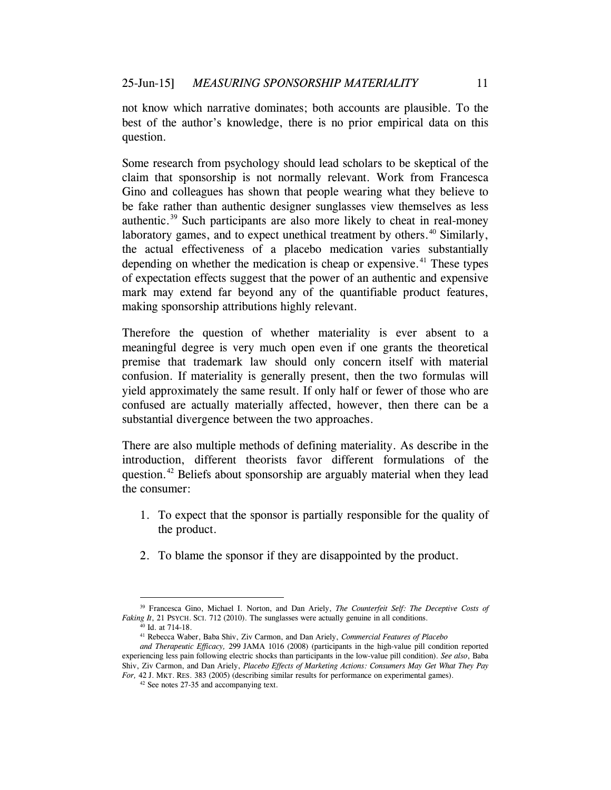not know which narrative dominates; both accounts are plausible. To the best of the author's knowledge, there is no prior empirical data on this question.

Some research from psychology should lead scholars to be skeptical of the claim that sponsorship is not normally relevant. Work from Francesca Gino and colleagues has shown that people wearing what they believe to be fake rather than authentic designer sunglasses view themselves as less authentic.[39](#page-10-0) Such participants are also more likely to cheat in real-money laboratory games, and to expect unethical treatment by others.<sup>[40](#page-10-1)</sup> Similarly, the actual effectiveness of a placebo medication varies substantially depending on whether the medication is cheap or expensive.<sup>[41](#page-10-2)</sup> These types of expectation effects suggest that the power of an authentic and expensive mark may extend far beyond any of the quantifiable product features, making sponsorship attributions highly relevant.

Therefore the question of whether materiality is ever absent to a meaningful degree is very much open even if one grants the theoretical premise that trademark law should only concern itself with material confusion. If materiality is generally present, then the two formulas will yield approximately the same result. If only half or fewer of those who are confused are actually materially affected, however, then there can be a substantial divergence between the two approaches.

There are also multiple methods of defining materiality. As describe in the introduction, different theorists favor different formulations of the question.<sup>[42](#page-10-3)</sup> Beliefs about sponsorship are arguably material when they lead the consumer:

- 1. To expect that the sponsor is partially responsible for the quality of the product.
- 2. To blame the sponsor if they are disappointed by the product.

<span id="page-10-1"></span><span id="page-10-0"></span> <sup>39</sup> Francesca Gino, Michael I. Norton, and Dan Ariely, *The Counterfeit Self: The Deceptive Costs of*  Faking It, 21 PSYCH. SCI. 712 (2010). The sunglasses were actually genuine in all conditions.

<sup>40</sup> Id. at 714-18.

<sup>41</sup> Rebecca Waber, Baba Shiv, Ziv Carmon, and Dan Ariely, *Commercial Features of Placebo*

<span id="page-10-3"></span><span id="page-10-2"></span>*and Therapeutic Efficacy,* 299 JAMA 1016 (2008) (participants in the high-value pill condition reported experiencing less pain following electric shocks than participants in the low-value pill condition). *See also*, Baba Shiv, Ziv Carmon, and Dan Ariely, *Placebo Effects of Marketing Actions: Consumers May Get What They Pay For,* 42 J. MKT. RES. 383 (2005) (describing similar results for performance on experimental games).

<sup>42</sup> See note[s 27](#page-7-6)[-35](#page-8-4) and accompanying text.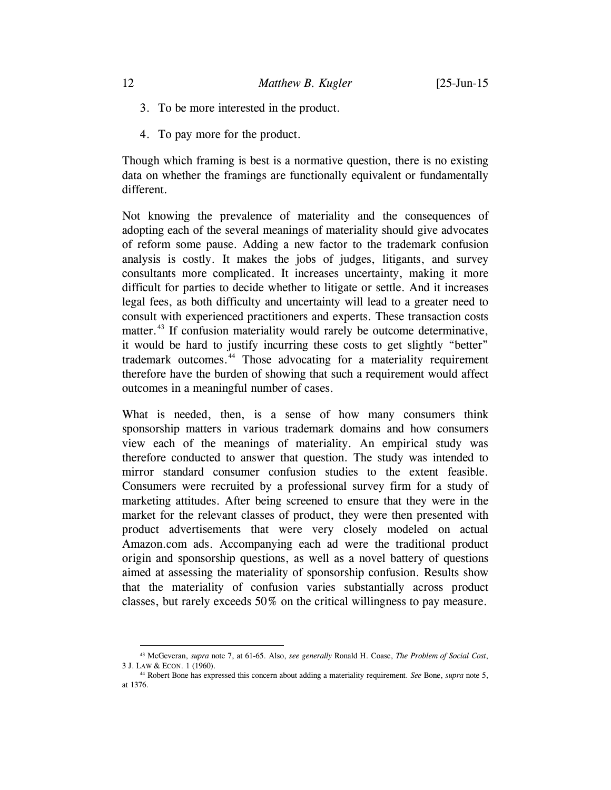- 3. To be more interested in the product.
- 4. To pay more for the product.

Though which framing is best is a normative question, there is no existing data on whether the framings are functionally equivalent or fundamentally different.

Not knowing the prevalence of materiality and the consequences of adopting each of the several meanings of materiality should give advocates of reform some pause. Adding a new factor to the trademark confusion analysis is costly. It makes the jobs of judges, litigants, and survey consultants more complicated. It increases uncertainty, making it more difficult for parties to decide whether to litigate or settle. And it increases legal fees, as both difficulty and uncertainty will lead to a greater need to consult with experienced practitioners and experts. These transaction costs matter.<sup>[43](#page-11-0)</sup> If confusion materiality would rarely be outcome determinative, it would be hard to justify incurring these costs to get slightly "better" trademark outcomes.[44](#page-11-1) Those advocating for a materiality requirement therefore have the burden of showing that such a requirement would affect outcomes in a meaningful number of cases.

What is needed, then, is a sense of how many consumers think sponsorship matters in various trademark domains and how consumers view each of the meanings of materiality. An empirical study was therefore conducted to answer that question. The study was intended to mirror standard consumer confusion studies to the extent feasible. Consumers were recruited by a professional survey firm for a study of marketing attitudes. After being screened to ensure that they were in the market for the relevant classes of product, they were then presented with product advertisements that were very closely modeled on actual Amazon.com ads. Accompanying each ad were the traditional product origin and sponsorship questions, as well as a novel battery of questions aimed at assessing the materiality of sponsorship confusion. Results show that the materiality of confusion varies substantially across product classes, but rarely exceeds 50% on the critical willingness to pay measure.

<span id="page-11-0"></span> <sup>43</sup> McGeveran, *supra* note [7,](#page-2-1) at 61-65. Also, *see generally* Ronald H. Coase, *The Problem of Social Cost*, 3 J. LAW & ECON. 1 (1960).

<span id="page-11-1"></span><sup>44</sup> Robert Bone has expressed this concern about adding a materiality requirement. *See* Bone, *supra* note [5,](#page-1-5) at 1376.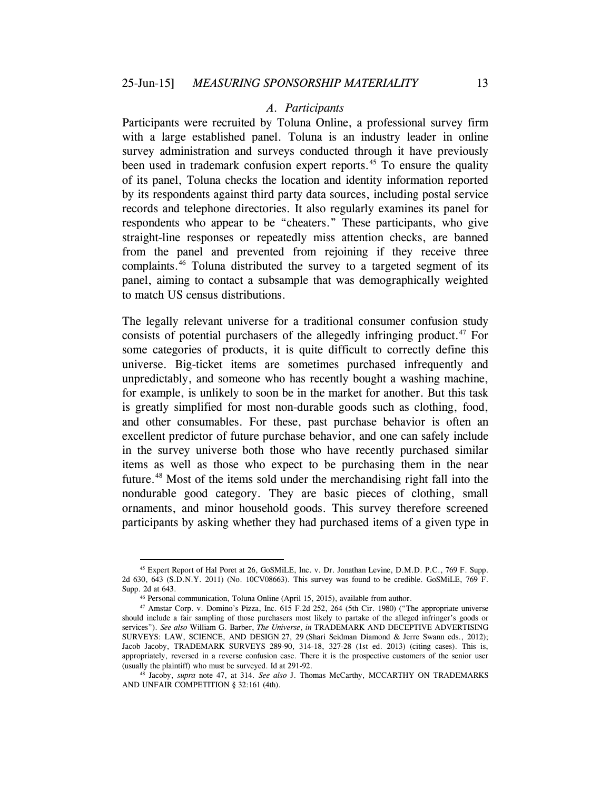#### <span id="page-12-0"></span>*A. Participants*

Participants were recruited by Toluna Online, a professional survey firm with a large established panel. Toluna is an industry leader in online survey administration and surveys conducted through it have previously been used in trademark confusion expert reports.<sup>[45](#page-12-1)</sup> To ensure the quality of its panel, Toluna checks the location and identity information reported by its respondents against third party data sources, including postal service records and telephone directories. It also regularly examines its panel for respondents who appear to be "cheaters." These participants, who give straight-line responses or repeatedly miss attention checks, are banned from the panel and prevented from rejoining if they receive three complaints.[46](#page-12-2) Toluna distributed the survey to a targeted segment of its panel, aiming to contact a subsample that was demographically weighted to match US census distributions.

The legally relevant universe for a traditional consumer confusion study consists of potential purchasers of the allegedly infringing product.<sup>[47](#page-12-3)</sup> For some categories of products, it is quite difficult to correctly define this universe. Big-ticket items are sometimes purchased infrequently and unpredictably, and someone who has recently bought a washing machine, for example, is unlikely to soon be in the market for another. But this task is greatly simplified for most non-durable goods such as clothing, food, and other consumables. For these, past purchase behavior is often an excellent predictor of future purchase behavior, and one can safely include in the survey universe both those who have recently purchased similar items as well as those who expect to be purchasing them in the near future.<sup>[48](#page-12-4)</sup> Most of the items sold under the merchandising right fall into the nondurable good category. They are basic pieces of clothing, small ornaments, and minor household goods. This survey therefore screened participants by asking whether they had purchased items of a given type in

<span id="page-12-5"></span><span id="page-12-1"></span> <sup>45</sup> Expert Report of Hal Poret at 26, GoSMiLE, Inc. v. Dr. Jonathan Levine, D.M.D. P.C., 769 F. Supp. 2d 630, 643 (S.D.N.Y. 2011) (No. 10CV08663). This survey was found to be credible. GoSMiLE, 769 F. Supp. 2d at 643.

<sup>46</sup> Personal communication, Toluna Online (April 15, 2015), available from author.

<span id="page-12-3"></span><span id="page-12-2"></span><sup>47</sup> Amstar Corp. v. Domino's Pizza, Inc. 615 F.2d 252, 264 (5th Cir. 1980) ("The appropriate universe should include a fair sampling of those purchasers most likely to partake of the alleged infringer's goods or services"). *See also* William G. Barber, *The Universe*, *in* TRADEMARK AND DECEPTIVE ADVERTISING SURVEYS: LAW, SCIENCE, AND DESIGN 27, 29 (Shari Seidman Diamond & Jerre Swann eds., 2012); Jacob Jacoby, TRADEMARK SURVEYS 289-90, 314-18, 327-28 (1st ed. 2013) (citing cases). This is, appropriately, reversed in a reverse confusion case. There it is the prospective customers of the senior user (usually the plaintiff) who must be surveyed. Id at 291-92.

<span id="page-12-4"></span><sup>48</sup> Jacoby, *supra* note [47,](#page-12-0) at 314. *See also* J. Thomas McCarthy, MCCARTHY ON TRADEMARKS AND UNFAIR COMPETITION § 32:161 (4th).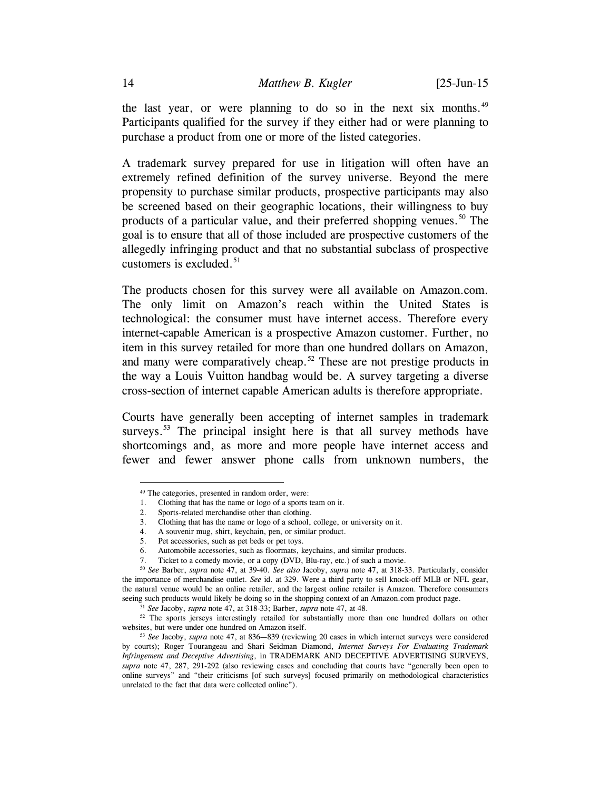<span id="page-13-6"></span>the last year, or were planning to do so in the next six months. $49$ Participants qualified for the survey if they either had or were planning to purchase a product from one or more of the listed categories.

A trademark survey prepared for use in litigation will often have an extremely refined definition of the survey universe. Beyond the mere propensity to purchase similar products, prospective participants may also be screened based on their geographic locations, their willingness to buy products of a particular value, and their preferred shopping venues.<sup>[50](#page-13-1)</sup> The goal is to ensure that all of those included are prospective customers of the allegedly infringing product and that no substantial subclass of prospective customers is excluded.<sup>[51](#page-13-2)</sup>

The products chosen for this survey were all available on Amazon.com. The only limit on Amazon's reach within the United States is technological: the consumer must have internet access. Therefore every internet-capable American is a prospective Amazon customer. Further, no item in this survey retailed for more than one hundred dollars on Amazon, and many were comparatively cheap.<sup>[52](#page-13-3)</sup> These are not prestige products in the way a Louis Vuitton handbag would be. A survey targeting a diverse cross-section of internet capable American adults is therefore appropriate.

<span id="page-13-5"></span>Courts have generally been accepting of internet samples in trademark surveys.<sup>[53](#page-13-4)</sup> The principal insight here is that all survey methods have shortcomings and, as more and more people have internet access and fewer and fewer answer phone calls from unknown numbers, the

 <sup>49</sup> The categories, presented in random order, were:

<span id="page-13-0"></span><sup>1.</sup> Clothing that has the name or logo of a sports team on it.

<sup>2.</sup> Sports-related merchandise other than clothing.

<sup>3.</sup> Clothing that has the name or logo of a school, college, or university on it.

<sup>4.</sup> A souvenir mug, shirt, keychain, pen, or similar product.

<sup>5.</sup> Pet accessories, such as pet beds or pet toys.

<sup>6.</sup> Automobile accessories, such as floormats, keychains, and similar products.

<sup>7.</sup> Ticket to a comedy movie, or a copy (DVD, Blu-ray, etc.) of such a movie.

<span id="page-13-1"></span><sup>50</sup> *See* Barber, *supra* note [47,](#page-12-0) at 39-40. *See also* Jacoby, *supra* note [47,](#page-12-0) at 318-33. Particularly, consider the importance of merchandise outlet. *See* id. at 329. Were a third party to sell knock-off MLB or NFL gear, the natural venue would be an online retailer, and the largest online retailer is Amazon. Therefore consumers seeing such products would likely be doing so in the shopping context of an Amazon.com product page.

<sup>51</sup> *See* Jacoby, *supra* note [47,](#page-12-0) at 318-33; Barber, *supra* note [47,](#page-12-0) at 48.

<span id="page-13-3"></span><span id="page-13-2"></span><sup>&</sup>lt;sup>52</sup> The sports jerseys interestingly retailed for substantially more than one hundred dollars on other websites, but were under one hundred on Amazon itself.

<span id="page-13-4"></span><sup>53</sup> *See* Jacoby, *supra* note [47,](#page-12-0) at 836—839 (reviewing 20 cases in which internet surveys were considered by courts); Roger Tourangeau and Shari Seidman Diamond, *Internet Surveys For Evaluating Trademark Infringement and Deceptive Advertising*, in TRADEMARK AND DECEPTIVE ADVERTISING SURVEYS, *supra* note [47,](#page-12-0) 287, 291-292 (also reviewing cases and concluding that courts have "generally been open to online surveys" and "their criticisms [of such surveys] focused primarily on methodological characteristics unrelated to the fact that data were collected online").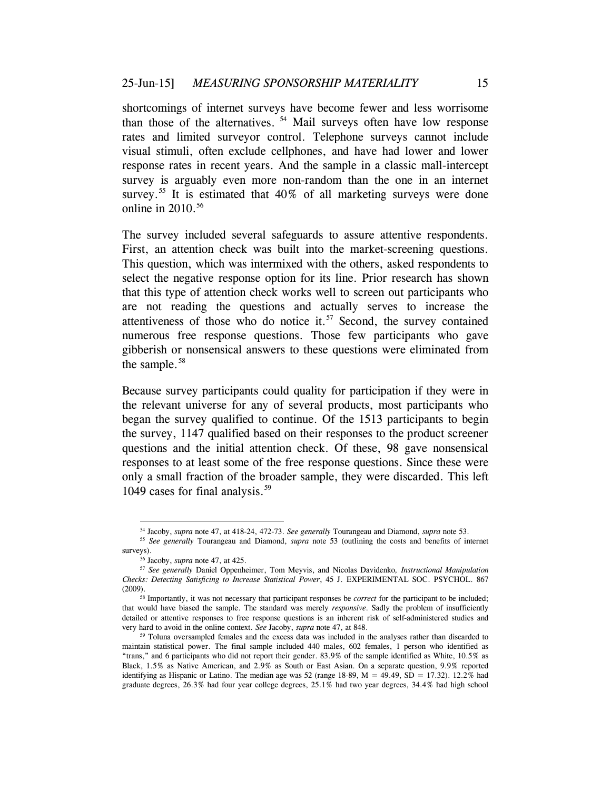shortcomings of internet surveys have become fewer and less worrisome than those of the alternatives. [54](#page-14-0) Mail surveys often have low response rates and limited surveyor control. Telephone surveys cannot include visual stimuli, often exclude cellphones, and have had lower and lower response rates in recent years. And the sample in a classic mall-intercept survey is arguably even more non-random than the one in an internet survey.<sup>[55](#page-14-1)</sup> It is estimated that  $40\%$  of all marketing surveys were done online in  $2010^{56}$  $2010^{56}$  $2010^{56}$ 

The survey included several safeguards to assure attentive respondents. First, an attention check was built into the market-screening questions. This question, which was intermixed with the others, asked respondents to select the negative response option for its line. Prior research has shown that this type of attention check works well to screen out participants who are not reading the questions and actually serves to increase the attentiveness of those who do notice it. $57$  Second, the survey contained numerous free response questions. Those few participants who gave gibberish or nonsensical answers to these questions were eliminated from the sample.<sup>[58](#page-14-4)</sup>

Because survey participants could quality for participation if they were in the relevant universe for any of several products, most participants who began the survey qualified to continue. Of the 1513 participants to begin the survey, 1147 qualified based on their responses to the product screener questions and the initial attention check. Of these, 98 gave nonsensical responses to at least some of the free response questions. Since these were only a small fraction of the broader sample, they were discarded. This left 1049 cases for final analysis.<sup>[59](#page-14-5)</sup>

 <sup>54</sup> Jacoby, *supra* not[e 47,](#page-12-0) at 418-24, 472-73. *See generally* Tourangeau and Diamond, *supra* note [53.](#page-13-5)

<span id="page-14-1"></span><span id="page-14-0"></span><sup>55</sup> *See generally* Tourangeau and Diamond, *supra* note [53](#page-13-5) (outlining the costs and benefits of internet surveys).

<sup>56</sup> Jacoby, *supra* not[e 47,](#page-12-0) at 425.

<span id="page-14-3"></span><span id="page-14-2"></span><sup>57</sup> *See generally* Daniel Oppenheimer, Tom Meyvis, and Nicolas Davidenko*, Instructional Manipulation Checks: Detecting Satisficing to Increase Statistical Power*, 45 J. EXPERIMENTAL SOC. PSYCHOL. 867 (2009).58 Importantly, it was not necessary that participant responses be *correct* for the participant to be included;

<span id="page-14-4"></span>that would have biased the sample. The standard was merely *responsive*. Sadly the problem of insufficiently detailed or attentive responses to free response questions is an inherent risk of self-administered studies and very hard to avoid in the online context. *See* Jacoby, *supra* note [47,](#page-12-0) at 848.

<span id="page-14-5"></span><sup>59</sup> Toluna oversampled females and the excess data was included in the analyses rather than discarded to maintain statistical power. The final sample included 440 males, 602 females, 1 person who identified as "trans," and 6 participants who did not report their gender. 83.9% of the sample identified as White, 10.5% as Black, 1.5% as Native American, and 2.9% as South or East Asian. On a separate question, 9.9% reported identifying as Hispanic or Latino. The median age was 52 (range 18-89,  $M = 49.49$ ,  $SD = 17.32$ ). 12.2% had graduate degrees, 26.3% had four year college degrees, 25.1% had two year degrees, 34.4% had high school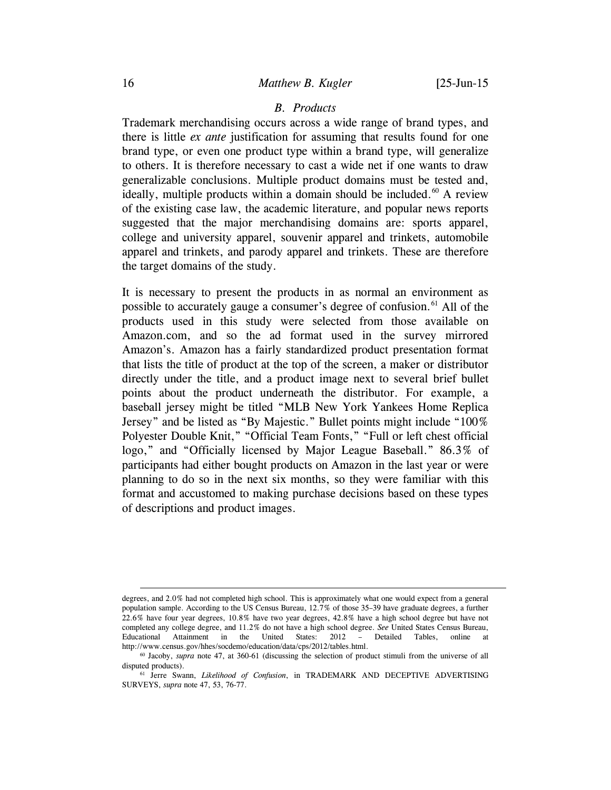#### <span id="page-15-2"></span>*B. Products*

Trademark merchandising occurs across a wide range of brand types, and there is little *ex ante* justification for assuming that results found for one brand type, or even one product type within a brand type, will generalize to others. It is therefore necessary to cast a wide net if one wants to draw generalizable conclusions. Multiple product domains must be tested and, ideally, multiple products within a domain should be included.<sup>[60](#page-15-0)</sup> A review of the existing case law, the academic literature, and popular news reports suggested that the major merchandising domains are: sports apparel, college and university apparel, souvenir apparel and trinkets, automobile apparel and trinkets, and parody apparel and trinkets. These are therefore the target domains of the study.

It is necessary to present the products in as normal an environment as possible to accurately gauge a consumer's degree of confusion.<sup>[61](#page-15-1)</sup> All of the products used in this study were selected from those available on Amazon.com, and so the ad format used in the survey mirrored Amazon's. Amazon has a fairly standardized product presentation format that lists the title of product at the top of the screen, a maker or distributor directly under the title, and a product image next to several brief bullet points about the product underneath the distributor. For example, a baseball jersey might be titled "MLB New York Yankees Home Replica Jersey" and be listed as "By Majestic." Bullet points might include "100% Polyester Double Knit," "Official Team Fonts," "Full or left chest official logo," and "Officially licensed by Major League Baseball." 86.3% of participants had either bought products on Amazon in the last year or were planning to do so in the next six months, so they were familiar with this format and accustomed to making purchase decisions based on these types of descriptions and product images.

degrees, and 2.0% had not completed high school. This is approximately what one would expect from a general population sample. According to the US Census Bureau, 12.7% of those 35–39 have graduate degrees, a further 22.6% have four year degrees, 10.8% have two year degrees, 42.8% have a high school degree but have not completed any college degree, and 11.2% do not have a high school degree. *See* United States Census Bureau, Educational Attainment in the United States: 2012 – Detailed Tables, online at http://www.census.gov/hhes/socdemo/education/data/cps/2012/tables.html.

<span id="page-15-0"></span><sup>60</sup> Jacoby, *supra* note [47,](#page-12-0) at 360-61 (discussing the selection of product stimuli from the universe of all disputed products).

<span id="page-15-1"></span><sup>61</sup> Jerre Swann, *Likelihood of Confusion*, in TRADEMARK AND DECEPTIVE ADVERTISING SURVEYS, *supra* not[e 47,](#page-12-0) 53, 76-77.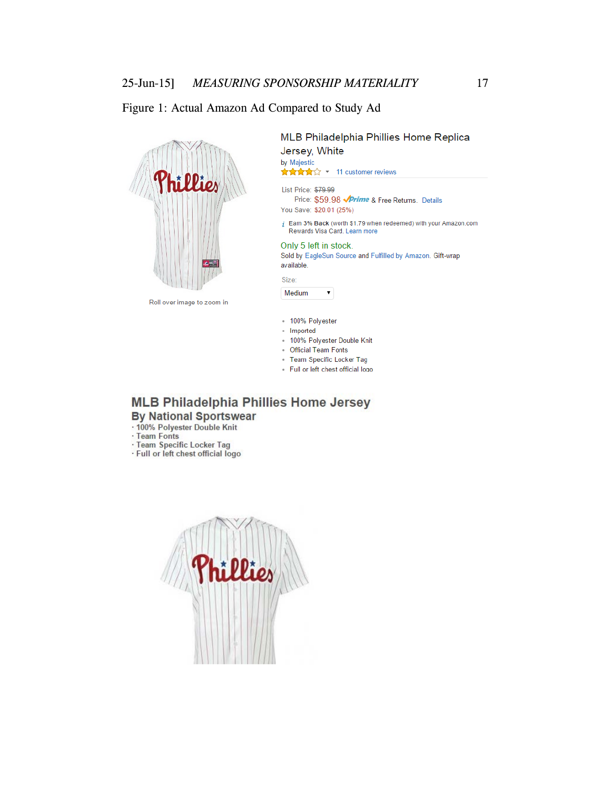### Figure 1: Actual Amazon Ad Compared to Study Ad



MLB Philadelphia Phillies Home Replica Jersey, White by Majestic ★★★★☆ ▼ 11 customer reviews

List Price: \$79.99 Price: \$59.98 **√Prime** & Free Returns. Details You Save: \$20.01 (25%)

 $i$  Earn 3% Back (worth \$1.79 when redeemed) with your Amazon.com Rewards Visa Card. Learn more

#### Only 5 left in stock.

Sold by EagleSun Source and Fulfilled by Amazon. Gift-wrap available.

Size:

Medium  $\mathbf{v}$ 

- 100% Polyester
- · Imported
- . 100% Polyester Double Knit
- **Official Team Fonts**
- · Team Specific Locker Tag
- · Full or left chest official logo

# **MLB Philadelphia Phillies Home Jersey By National Sportswear**

- -100% Polyester Double Knit<br>- Team Fonts
- 
- · Team Specific Locker Tag · Full or left chest official logo

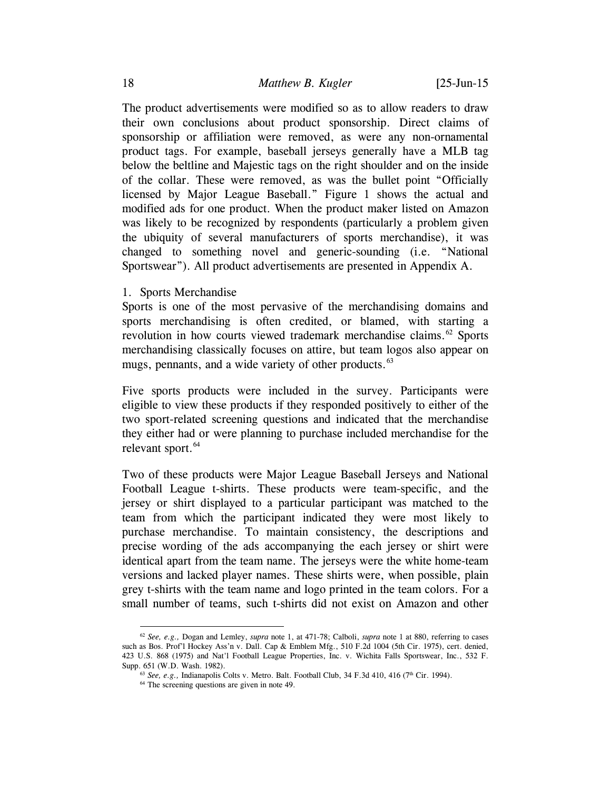The product advertisements were modified so as to allow readers to draw their own conclusions about product sponsorship. Direct claims of sponsorship or affiliation were removed, as were any non-ornamental product tags. For example, baseball jerseys generally have a MLB tag below the beltline and Majestic tags on the right shoulder and on the inside of the collar. These were removed, as was the bullet point "Officially licensed by Major League Baseball." Figure 1 shows the actual and modified ads for one product. When the product maker listed on Amazon was likely to be recognized by respondents (particularly a problem given the ubiquity of several manufacturers of sports merchandise), it was changed to something novel and generic-sounding (i.e. "National Sportswear"). All product advertisements are presented in Appendix A.

1. Sports Merchandise

Sports is one of the most pervasive of the merchandising domains and sports merchandising is often credited, or blamed, with starting a revolution in how courts viewed trademark merchandise claims.<sup>[62](#page-17-0)</sup> Sports merchandising classically focuses on attire, but team logos also appear on mugs, pennants, and a wide variety of other products.<sup>[63](#page-17-1)</sup>

Five sports products were included in the survey. Participants were eligible to view these products if they responded positively to either of the two sport-related screening questions and indicated that the merchandise they either had or were planning to purchase included merchandise for the relevant sport.<sup>[64](#page-17-2)</sup>

Two of these products were Major League Baseball Jerseys and National Football League t-shirts. These products were team-specific, and the jersey or shirt displayed to a particular participant was matched to the team from which the participant indicated they were most likely to purchase merchandise. To maintain consistency, the descriptions and precise wording of the ads accompanying the each jersey or shirt were identical apart from the team name. The jerseys were the white home-team versions and lacked player names. These shirts were, when possible, plain grey t-shirts with the team name and logo printed in the team colors. For a small number of teams, such t-shirts did not exist on Amazon and other

<span id="page-17-2"></span><span id="page-17-1"></span><span id="page-17-0"></span> <sup>62</sup> *See, e.g.,* Dogan and Lemley, *supra* note [1,](#page-0-3) at 471-78; Calboli, *supra* note 1 at 880, referring to cases such as Bos. Prof'l Hockey Ass'n v. Dall. Cap & Emblem Mfg., 510 F.2d 1004 (5th Cir. 1975), cert. denied, 423 U.S. 868 (1975) and Nat'l Football League Properties, Inc. v. Wichita Falls Sportswear, Inc., 532 F. Supp. 651 (W.D. Wash. 1982).

<sup>&</sup>lt;sup>63</sup> *See, e.g.,* Indianapolis Colts v. Metro. Balt. Football Club, 34 F.3d 410, 416 (7<sup>th</sup> Cir. 1994).

<sup>64</sup> The screening questions are given in not[e 49.](#page-13-6)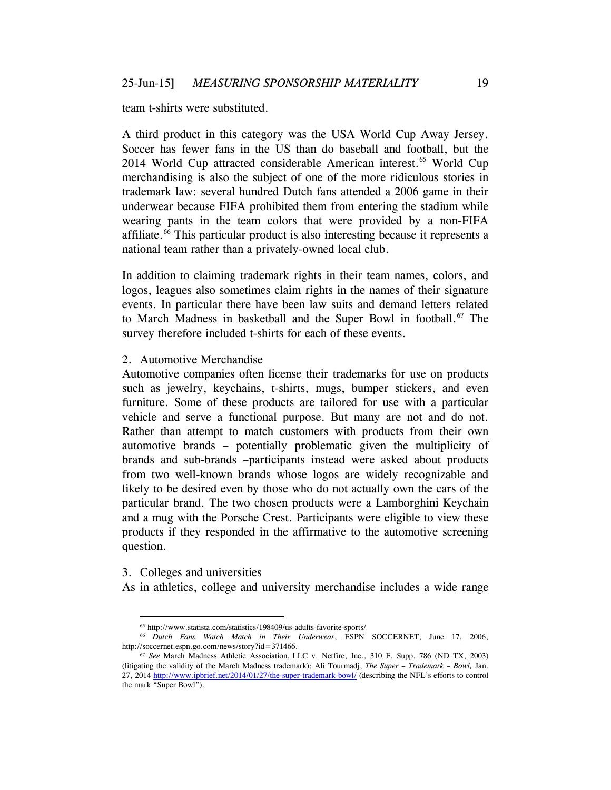team t-shirts were substituted.

A third product in this category was the USA World Cup Away Jersey. Soccer has fewer fans in the US than do baseball and football, but the 2014 World Cup attracted considerable American interest.<sup>65</sup> World Cup merchandising is also the subject of one of the more ridiculous stories in trademark law: several hundred Dutch fans attended a 2006 game in their underwear because FIFA prohibited them from entering the stadium while wearing pants in the team colors that were provided by a non-FIFA affiliate.<sup>[66](#page-18-1)</sup> This particular product is also interesting because it represents a national team rather than a privately-owned local club.

In addition to claiming trademark rights in their team names, colors, and logos, leagues also sometimes claim rights in the names of their signature events. In particular there have been law suits and demand letters related to March Madness in basketball and the Super Bowl in football.<sup>[67](#page-18-2)</sup> The survey therefore included t-shirts for each of these events.

2. Automotive Merchandise

Automotive companies often license their trademarks for use on products such as jewelry, keychains, t-shirts, mugs, bumper stickers, and even furniture. Some of these products are tailored for use with a particular vehicle and serve a functional purpose. But many are not and do not. Rather than attempt to match customers with products from their own automotive brands – potentially problematic given the multiplicity of brands and sub-brands –participants instead were asked about products from two well-known brands whose logos are widely recognizable and likely to be desired even by those who do not actually own the cars of the particular brand. The two chosen products were a Lamborghini Keychain and a mug with the Porsche Crest. Participants were eligible to view these products if they responded in the affirmative to the automotive screening question.

3. Colleges and universities

As in athletics, college and university merchandise includes a wide range

 <sup>65</sup> http://www.statista.com/statistics/198409/us-adults-favorite-sports/

<span id="page-18-1"></span><span id="page-18-0"></span><sup>66</sup> *Dutch Fans Watch Match in Their Underwear*, ESPN SOCCERNET, June 17, 2006, http://soccernet.espn.go.com/news/story?id=371466.

<span id="page-18-2"></span><sup>67</sup> *See* March Madness Athletic Association, LLC v. Netfire, Inc., 310 F. Supp. 786 (ND TX, 2003) (litigating the validity of the March Madness trademark); Ali Tourmadj, *The Super – Trademark – Bowl,* Jan. 27, 2014<http://www.ipbrief.net/2014/01/27/the-super-trademark-bowl/> (describing the NFL's efforts to control the mark "Super Bowl").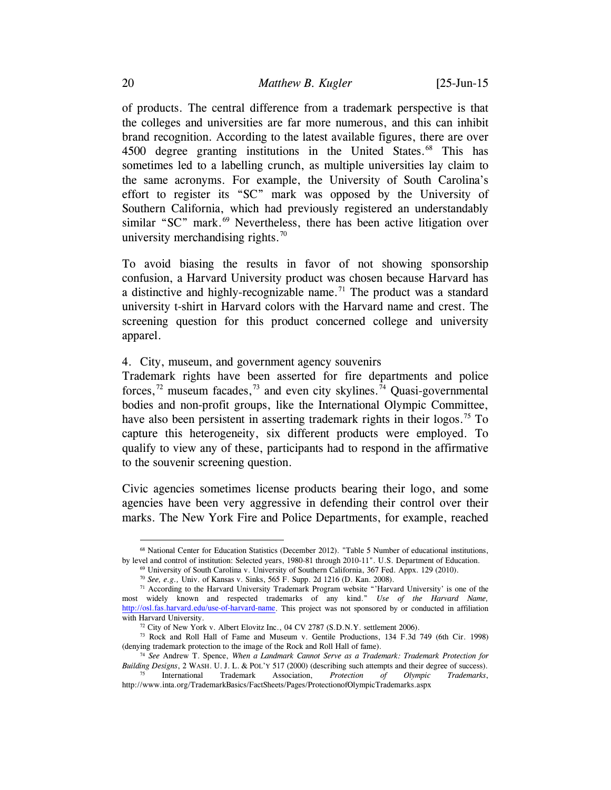of products. The central difference from a trademark perspective is that the colleges and universities are far more numerous, and this can inhibit brand recognition. According to the latest available figures, there are over 4500 degree granting institutions in the United States.<sup>[68](#page-19-0)</sup> This has sometimes led to a labelling crunch, as multiple universities lay claim to the same acronyms. For example, the University of South Carolina's effort to register its "SC" mark was opposed by the University of Southern California, which had previously registered an understandably similar "SC" mark. $^{69}$  $^{69}$  $^{69}$  Nevertheless, there has been active litigation over university merchandising rights. $70$ 

To avoid biasing the results in favor of not showing sponsorship confusion, a Harvard University product was chosen because Harvard has a distinctive and highly-recognizable name.<sup>[71](#page-19-3)</sup> The product was a standard university t-shirt in Harvard colors with the Harvard name and crest. The screening question for this product concerned college and university apparel.

## 4. City, museum, and government agency souvenirs

<span id="page-19-9"></span><span id="page-19-8"></span>Trademark rights have been asserted for fire departments and police forces,<sup>[72](#page-19-4)</sup> museum facades,<sup>[73](#page-19-5)</sup> and even city skylines.<sup>[74](#page-19-6)</sup> Ouasi-governmental bodies and non-profit groups, like the International Olympic Committee, have also been persistent in asserting trademark rights in their logos.<sup>[75](#page-19-7)</sup> To capture this heterogeneity, six different products were employed. To qualify to view any of these, participants had to respond in the affirmative to the souvenir screening question.

Civic agencies sometimes license products bearing their logo, and some agencies have been very aggressive in defending their control over their marks. The New York Fire and Police Departments, for example, reached

<span id="page-19-0"></span> <sup>68</sup> National Center for Education Statistics (December 2012). "Table 5 Number of educational institutions, by level and control of institution: Selected years, 1980-81 through 2010-11". U.S. Department of Education.

<sup>69</sup> University of South Carolina v. University of Southern California, 367 Fed. Appx. 129 (2010).

<sup>70</sup> *See, e.g.,* Univ. of Kansas v. Sinks, 565 F. Supp. 2d 1216 (D. Kan. 2008).

<span id="page-19-3"></span><span id="page-19-2"></span><span id="page-19-1"></span> $71$  According to the Harvard University Trademark Program website "'Harvard University' is one of the most widely known and respected trademarks of any kind." *Use of the Harvard Name,*  [http://osl.fas.harvard.edu/use-of-harvard-name.](http://osl.fas.harvard.edu/use-of-harvard-name) This project was not sponsored by or conducted in affiliation with Harvard University.<br><sup>72</sup> City of New York v. Albert Elovitz Inc., 04 CV 2787 (S.D.N.Y. settlement 2006).

<span id="page-19-5"></span><span id="page-19-4"></span><sup>73</sup> Rock and Roll Hall of Fame and Museum v. Gentile Productions, 134 F.3d 749 (6th Cir. 1998) (denying trademark protection to the image of the Rock and Roll Hall of fame).

<span id="page-19-6"></span><sup>74</sup> *See* Andrew T. Spence, *When a Landmark Cannot Serve as a Trademark: Trademark Protection for Building Designs*, 2 WASH. U. J. L. & POL'Y 517 (2000) (describing such attempts and their degree of success).<br><sup>75</sup> International Trademark Association, *Protection of Olympic Trademarks*,

<span id="page-19-7"></span>Trademark Association, *Protection of Olympic Trademarks*, http://www.inta.org/TrademarkBasics/FactSheets/Pages/ProtectionofOlympicTrademarks.aspx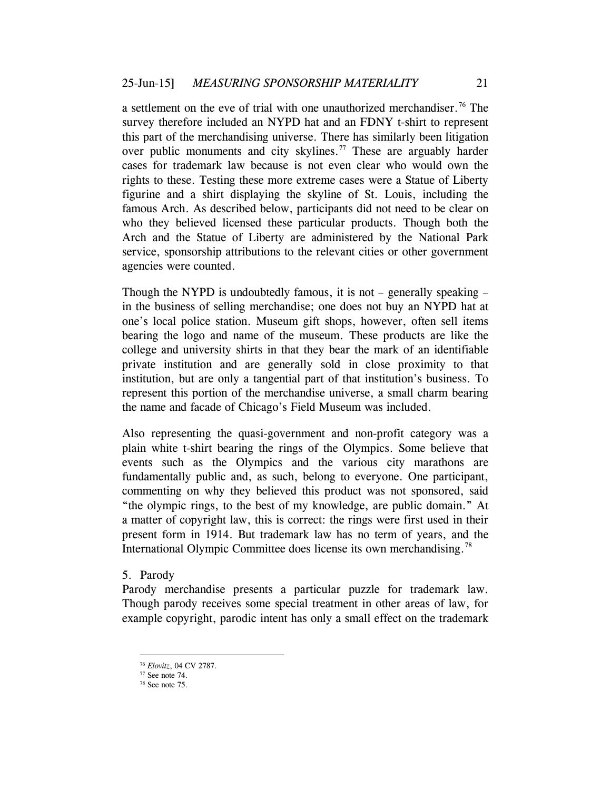a settlement on the eve of trial with one unauthorized merchandiser.<sup>[76](#page-20-0)</sup> The survey therefore included an NYPD hat and an FDNY t-shirt to represent this part of the merchandising universe. There has similarly been litigation over public monuments and city skylines.<sup>[77](#page-20-1)</sup> These are arguably harder cases for trademark law because is not even clear who would own the rights to these. Testing these more extreme cases were a Statue of Liberty figurine and a shirt displaying the skyline of St. Louis, including the famous Arch. As described below, participants did not need to be clear on who they believed licensed these particular products. Though both the Arch and the Statue of Liberty are administered by the National Park service, sponsorship attributions to the relevant cities or other government agencies were counted.

Though the NYPD is undoubtedly famous, it is not – generally speaking – in the business of selling merchandise; one does not buy an NYPD hat at one's local police station. Museum gift shops, however, often sell items bearing the logo and name of the museum. These products are like the college and university shirts in that they bear the mark of an identifiable private institution and are generally sold in close proximity to that institution, but are only a tangential part of that institution's business. To represent this portion of the merchandise universe, a small charm bearing the name and facade of Chicago's Field Museum was included.

Also representing the quasi-government and non-profit category was a plain white t-shirt bearing the rings of the Olympics. Some believe that events such as the Olympics and the various city marathons are fundamentally public and, as such, belong to everyone. One participant, commenting on why they believed this product was not sponsored, said "the olympic rings, to the best of my knowledge, are public domain." At a matter of copyright law, this is correct: the rings were first used in their present form in 1914. But trademark law has no term of years, and the International Olympic Committee does license its own merchandising.[78](#page-20-2)

5. Parody

Parody merchandise presents a particular puzzle for trademark law. Though parody receives some special treatment in other areas of law, for example copyright, parodic intent has only a small effect on the trademark

 <sup>76</sup> *Elovitz*, 04 CV 2787.

<span id="page-20-1"></span><span id="page-20-0"></span><sup>77</sup> See not[e 74.](#page-19-8)

<span id="page-20-2"></span><sup>78</sup> See not[e 75.](#page-19-9)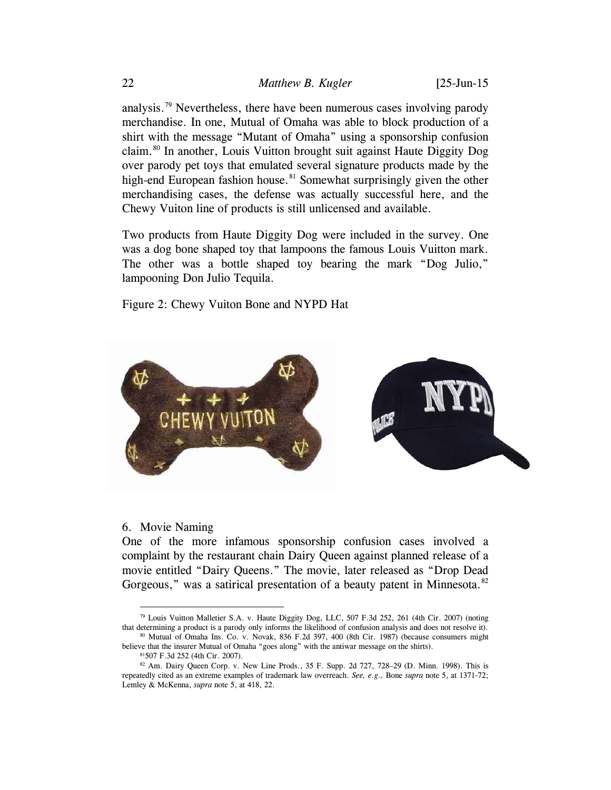analysis.<sup>79</sup> Nevertheless, there have been numerous cases involving parody merchandise. In one, Mutual of Omaha was able to block production of a shirt with the message "Mutant of Omaha" using a sponsorship confusion claim.[80](#page-21-1) In another, Louis Vuitton brought suit against Haute Diggity Dog over parody pet toys that emulated several signature products made by the high-end European fashion house.<sup>[81](#page-21-2)</sup> Somewhat surprisingly given the other merchandising cases, the defense was actually successful here, and the Chewy Vuiton line of products is still unlicensed and available.

Two products from Haute Diggity Dog were included in the survey. One was a dog bone shaped toy that lampoons the famous Louis Vuitton mark. The other was a bottle shaped toy bearing the mark "Dog Julio," lampooning Don Julio Tequila.

Figure 2: Chewy Vuiton Bone and NYPD Hat



#### 6. Movie Naming

One of the more infamous sponsorship confusion cases involved a complaint by the restaurant chain Dairy Queen against planned release of a movie entitled "Dairy Queens." The movie, later released as "Drop Dead Gorgeous," was a satirical presentation of a beauty patent in Minnesota.<sup>[82](#page-21-3)</sup>

<span id="page-21-0"></span> <sup>79</sup> Louis Vuitton Malletier S.A. v. Haute Diggity Dog, LLC, 507 F.3d 252, 261 (4th Cir. 2007) (noting that determining a product is a parody only informs the likelihood of confusion analysis and does not resolve it).

<span id="page-21-1"></span><sup>80</sup> Mutual of Omaha Ins. Co. v. Novak, 836 F.2d 397, 400 (8th Cir. 1987) (because consumers might believe that the insurer Mutual of Omaha "goes along" with the antiwar message on the shirts).

<sup>81507</sup> F.3d 252 (4th Cir. 2007).

<span id="page-21-3"></span><span id="page-21-2"></span> $82$  Am. Dairy Queen Corp. v. New Line Prods., 35 F. Supp. 2d 727, 728–29 (D. Minn. 1998). This is repeatedly cited as an extreme examples of trademark law overreach. *See, e.g.,* Bone *supra* note [5,](#page-1-5) at 1371-72; Lemley & McKenna, *supra* note [5,](#page-1-5) at 418, 22.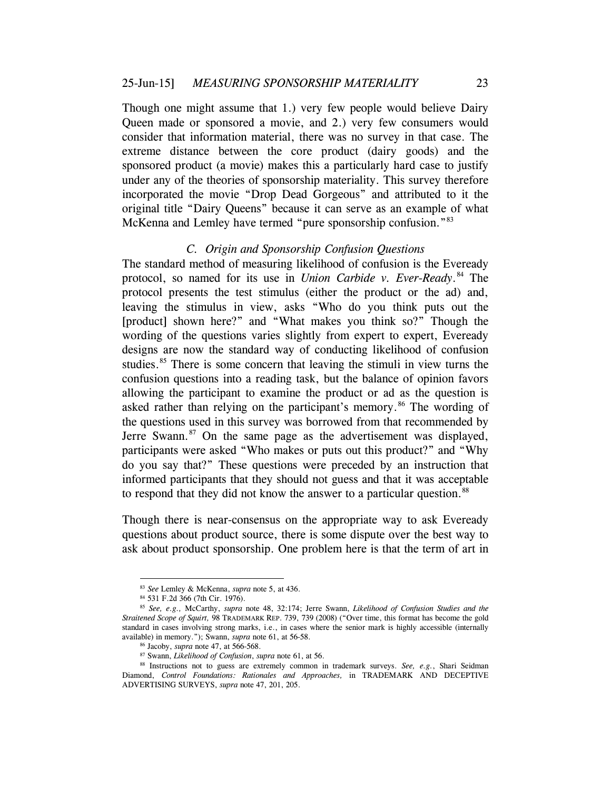Though one might assume that 1.) very few people would believe Dairy Queen made or sponsored a movie, and 2.) very few consumers would consider that information material, there was no survey in that case. The extreme distance between the core product (dairy goods) and the sponsored product (a movie) makes this a particularly hard case to justify under any of the theories of sponsorship materiality. This survey therefore incorporated the movie "Drop Dead Gorgeous" and attributed to it the original title "Dairy Queens" because it can serve as an example of what McKenna and Lemley have termed "pure sponsorship confusion."<sup>[83](#page-22-0)</sup>

#### *C. Origin and Sponsorship Confusion Questions*

The standard method of measuring likelihood of confusion is the Eveready protocol, so named for its use in *Union Carbide v. Ever-Ready*. [84](#page-22-1) The protocol presents the test stimulus (either the product or the ad) and, leaving the stimulus in view, asks "Who do you think puts out the [product] shown here?" and "What makes you think so?" Though the wording of the questions varies slightly from expert to expert, Eveready designs are now the standard way of conducting likelihood of confusion studies.<sup>[85](#page-22-2)</sup> There is some concern that leaving the stimuli in view turns the confusion questions into a reading task, but the balance of opinion favors allowing the participant to examine the product or ad as the question is asked rather than relying on the participant's memory.<sup>[86](#page-22-3)</sup> The wording of the questions used in this survey was borrowed from that recommended by Jerre Swann. $87$  On the same page as the advertisement was displayed, participants were asked "Who makes or puts out this product?" and "Why do you say that?" These questions were preceded by an instruction that informed participants that they should not guess and that it was acceptable to respond that they did not know the answer to a particular question.<sup>[88](#page-22-5)</sup>

Though there is near-consensus on the appropriate way to ask Eveready questions about product source, there is some dispute over the best way to ask about product sponsorship. One problem here is that the term of art in

 <sup>83</sup> *See* Lemley & McKenna, *supra* not[e 5,](#page-1-5) at 436.

<span id="page-22-2"></span><span id="page-22-1"></span><span id="page-22-0"></span><sup>&</sup>lt;sup>85</sup> See, e.g., McCarthy, *supra* note [48,](#page-12-5) 32:174; Jerre Swann, *Likelihood of Confusion Studies and the Straitened Scope of Squirt,* 98 TRADEMARK REP. 739, 739 (2008) ("Over time, this format has become the gold standard in cases involving strong marks, i.e., in cases where the senior mark is highly accessible (internally available) in memory."); Swann, *supra* note [61,](#page-15-2) at 56-58.

<sup>86</sup> Jacoby, *supra* not[e 47,](#page-12-0) at 566-568.

<sup>87</sup> Swann, *Likelihood of Confusion*, *supra* not[e 61,](#page-15-2) at 56.

<span id="page-22-5"></span><span id="page-22-4"></span><span id="page-22-3"></span><sup>88</sup> Instructions not to guess are extremely common in trademark surveys. *See, e.g.*, Shari Seidman Diamond, *Control Foundations: Rationales and Approaches,* in TRADEMARK AND DECEPTIVE ADVERTISING SURVEYS, *supra* not[e 47,](#page-12-0) 201, 205.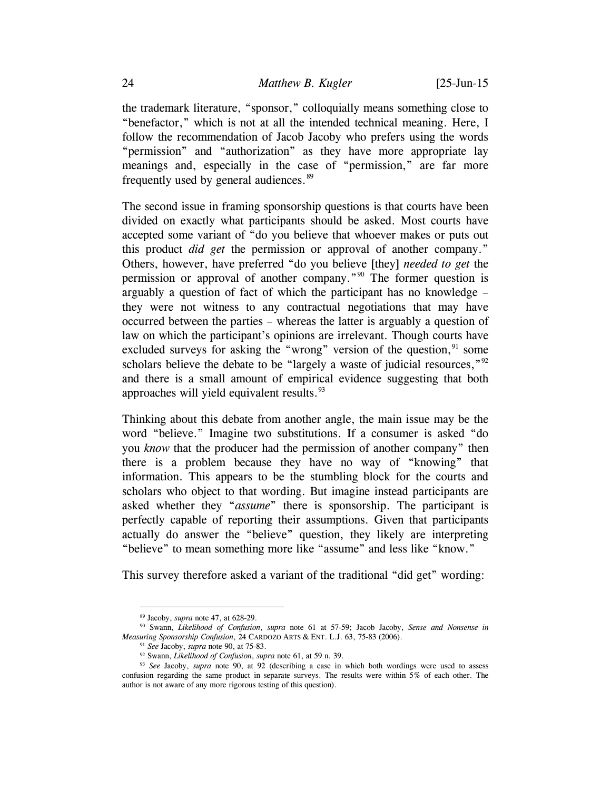the trademark literature, "sponsor," colloquially means something close to "benefactor," which is not at all the intended technical meaning. Here, I follow the recommendation of Jacob Jacoby who prefers using the words "permission" and "authorization" as they have more appropriate lay meanings and, especially in the case of "permission," are far more frequently used by general audiences.<sup>[89](#page-23-1)</sup>

<span id="page-23-0"></span>The second issue in framing sponsorship questions is that courts have been divided on exactly what participants should be asked. Most courts have accepted some variant of "do you believe that whoever makes or puts out this product *did get* the permission or approval of another company." Others, however, have preferred "do you believe [they] *needed to get* the permission or approval of another company."<sup>[90](#page-23-2)</sup> The former question is arguably a question of fact of which the participant has no knowledge – they were not witness to any contractual negotiations that may have occurred between the parties – whereas the latter is arguably a question of law on which the participant's opinions are irrelevant. Though courts have excluded surveys for asking the "wrong" version of the question,  $91$  some scholars believe the debate to be "largely a waste of judicial resources," $92$ and there is a small amount of empirical evidence suggesting that both approaches will yield equivalent results. $93$ 

Thinking about this debate from another angle, the main issue may be the word "believe." Imagine two substitutions. If a consumer is asked "do you *know* that the producer had the permission of another company" then there is a problem because they have no way of "knowing" that information. This appears to be the stumbling block for the courts and scholars who object to that wording. But imagine instead participants are asked whether they "*assume*" there is sponsorship. The participant is perfectly capable of reporting their assumptions. Given that participants actually do answer the "believe" question, they likely are interpreting "believe" to mean something more like "assume" and less like "know."

This survey therefore asked a variant of the traditional "did get" wording:

 <sup>89</sup> Jacoby, *supra* not[e 47,](#page-12-0) at 628-29.

<span id="page-23-3"></span><span id="page-23-2"></span><span id="page-23-1"></span><sup>90</sup> Swann, *Likelihood of Confusion*, *supra* note [61](#page-15-2) at 57-59; Jacob Jacoby, *Sense and Nonsense in Measuring Sponsorship Confusion*, 24 CARDOZO ARTS & ENT. L.J. 63, 75-83 (2006).

<sup>91</sup> *See* Jacoby, *supra* note [90,](#page-23-0) at 75-83.

<sup>92</sup> Swann, *Likelihood of Confusion*, *supra* not[e 61,](#page-15-2) at 59 n. 39.

<span id="page-23-5"></span><span id="page-23-4"></span><sup>93</sup> *See* Jacoby, *supra* note [90,](#page-23-0) at 92 (describing a case in which both wordings were used to assess confusion regarding the same product in separate surveys. The results were within 5% of each other. The author is not aware of any more rigorous testing of this question).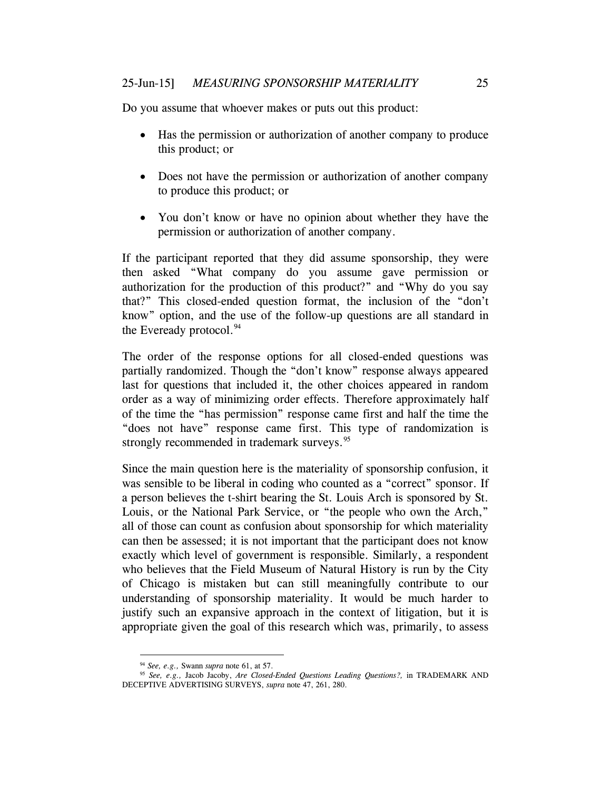Do you assume that whoever makes or puts out this product:

- Has the permission or authorization of another company to produce this product; or
- Does not have the permission or authorization of another company to produce this product; or
- You don't know or have no opinion about whether they have the permission or authorization of another company.

If the participant reported that they did assume sponsorship, they were then asked "What company do you assume gave permission or authorization for the production of this product?" and "Why do you say that?" This closed-ended question format, the inclusion of the "don't know" option, and the use of the follow-up questions are all standard in the Eveready protocol. $94$ 

The order of the response options for all closed-ended questions was partially randomized. Though the "don't know" response always appeared last for questions that included it, the other choices appeared in random order as a way of minimizing order effects. Therefore approximately half of the time the "has permission" response came first and half the time the "does not have" response came first. This type of randomization is strongly recommended in trademark surveys.<sup>[95](#page-24-1)</sup>

<span id="page-24-2"></span>Since the main question here is the materiality of sponsorship confusion, it was sensible to be liberal in coding who counted as a "correct" sponsor. If a person believes the t-shirt bearing the St. Louis Arch is sponsored by St. Louis, or the National Park Service, or "the people who own the Arch," all of those can count as confusion about sponsorship for which materiality can then be assessed; it is not important that the participant does not know exactly which level of government is responsible. Similarly, a respondent who believes that the Field Museum of Natural History is run by the City of Chicago is mistaken but can still meaningfully contribute to our understanding of sponsorship materiality. It would be much harder to justify such an expansive approach in the context of litigation, but it is appropriate given the goal of this research which was, primarily, to assess

 <sup>94</sup> *See, e.g.,* Swann *supra* note [61,](#page-15-2) at 57.

<span id="page-24-1"></span><span id="page-24-0"></span><sup>95</sup> *See, e.g.,* Jacob Jacoby, *Are Closed-Ended Questions Leading Questions?,* in TRADEMARK AND DECEPTIVE ADVERTISING SURVEYS, *supra* not[e 47,](#page-12-0) 261, 280.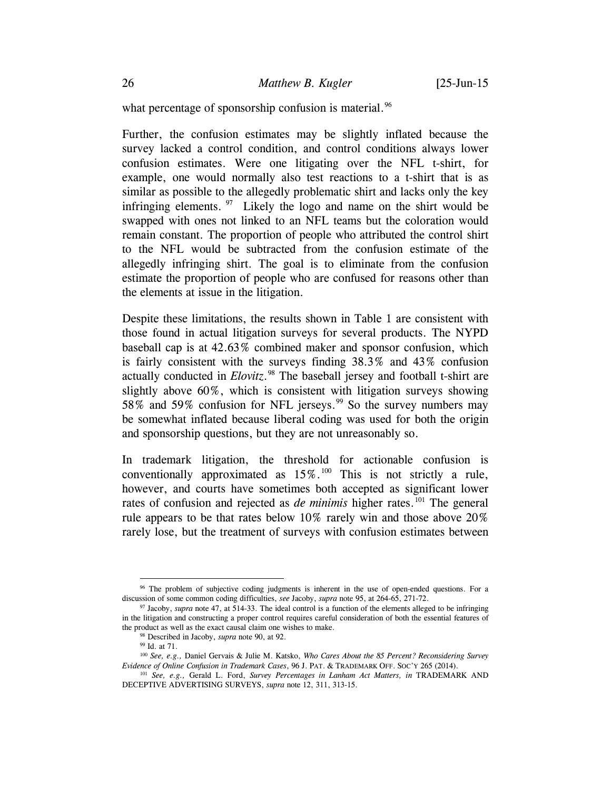what percentage of sponsorship confusion is material.<sup>[96](#page-25-1)</sup>

Further, the confusion estimates may be slightly inflated because the survey lacked a control condition, and control conditions always lower confusion estimates. Were one litigating over the NFL t-shirt, for example, one would normally also test reactions to a t-shirt that is as similar as possible to the allegedly problematic shirt and lacks only the key infringing elements.  $97$  Likely the logo and name on the shirt would be swapped with ones not linked to an NFL teams but the coloration would remain constant. The proportion of people who attributed the control shirt to the NFL would be subtracted from the confusion estimate of the allegedly infringing shirt. The goal is to eliminate from the confusion estimate the proportion of people who are confused for reasons other than the elements at issue in the litigation.

Despite these limitations, the results shown in Table 1 are consistent with those found in actual litigation surveys for several products. The NYPD baseball cap is at 42.63% combined maker and sponsor confusion, which is fairly consistent with the surveys finding 38.3% and 43% confusion actually conducted in *Elovitz*. [98](#page-25-3) The baseball jersey and football t-shirt are slightly above 60%, which is consistent with litigation surveys showing 58% and 59% confusion for NFL jerseys.<sup>[99](#page-25-4)</sup> So the survey numbers may be somewhat inflated because liberal coding was used for both the origin and sponsorship questions, but they are not unreasonably so.

<span id="page-25-0"></span>In trademark litigation, the threshold for actionable confusion is conventionally approximated as  $15\%$ .<sup>[100](#page-25-5)</sup> This is not strictly a rule, however, and courts have sometimes both accepted as significant lower rates of confusion and rejected as *de minimis* higher rates.<sup>[101](#page-25-6)</sup> The general rule appears to be that rates below 10% rarely win and those above 20% rarely lose, but the treatment of surveys with confusion estimates between

<span id="page-25-1"></span><sup>&</sup>lt;sup>96</sup> The problem of subjective coding judgments is inherent in the use of open-ended questions. For a discussion of some common coding difficulties, *see* Jacoby, *supra* note 95, at 264-65, 271-72.

<span id="page-25-2"></span><sup>&</sup>lt;sup>97</sup> Jacoby, *supra* not[e 47,](#page-12-0) at 514-33. The ideal control is a function of the elements alleged to be infringing in the litigation and constructing a proper control requires careful consideration of both the essential features of the product as well as the exact causal claim one wishes to make.

<sup>98</sup> Described in Jacoby, *supra* note [90,](#page-23-0) at 92.

<sup>99</sup> Id. at 71.

<span id="page-25-5"></span><span id="page-25-4"></span><span id="page-25-3"></span><sup>100</sup> *See, e.g.,* Daniel Gervais & Julie M. Katsko, *Who Cares About the 85 Percent? Reconsidering Survey Evidence of Online Confusion in Trademark Cases*, 96 J. PAT. & TRADEMARK OFF. SOC'Y 265 (2014).

<span id="page-25-6"></span><sup>101</sup> *See, e.g.,* Gerald L. Ford, *Survey Percentages in Lanham Act Matters, in* TRADEMARK AND DECEPTIVE ADVERTISING SURVEYS, *supra* note 12, 311, 313-15.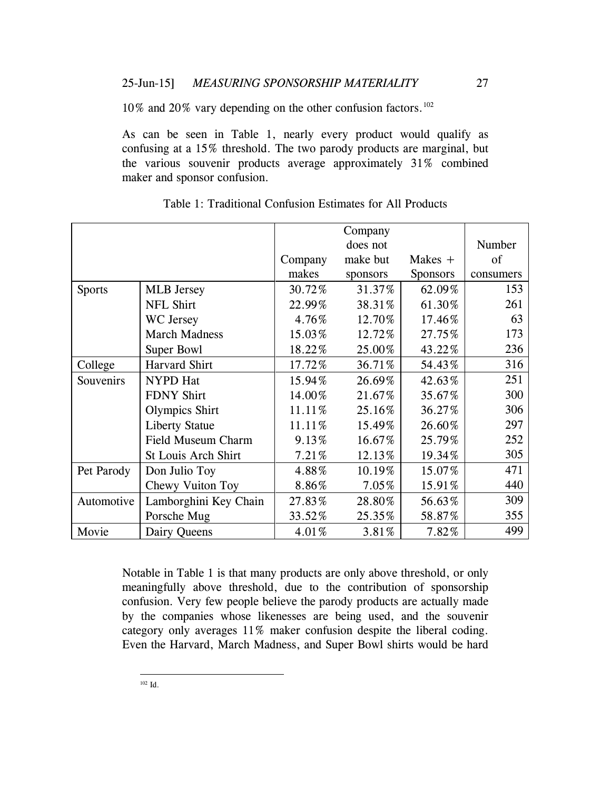10% and 20% vary depending on the other confusion factors.[102](#page-26-1)

As can be seen in Table 1, nearly every product would qualify as confusing at a 15% threshold. The two parody products are marginal, but the various souvenir products average approximately 31% combined maker and sponsor confusion.

|               |                           |         | Company  |                 |           |
|---------------|---------------------------|---------|----------|-----------------|-----------|
|               |                           |         | does not |                 | Number    |
|               |                           | Company | make but | Makes $+$       | of        |
|               |                           | makes   | sponsors | <b>Sponsors</b> | consumers |
| <b>Sports</b> | <b>MLB</b> Jersey         | 30.72%  | 31.37%   | 62.09%          | 153       |
|               | <b>NFL Shirt</b>          | 22.99%  | 38.31%   | 61.30%          | 261       |
|               | WC Jersey                 | 4.76%   | 12.70%   | 17.46%          | 63        |
|               | <b>March Madness</b>      | 15.03%  | 12.72%   | 27.75%          | 173       |
|               | Super Bowl                | 18.22%  | 25.00%   | 43.22%          | 236       |
| College       | Harvard Shirt             | 17.72%  | 36.71%   | 54.43%          | 316       |
| Souvenirs     | <b>NYPD</b> Hat           | 15.94%  | 26.69%   | 42.63%          | 251       |
|               | <b>FDNY Shirt</b>         | 14.00%  | 21.67%   | 35.67%          | 300       |
|               | <b>Olympics Shirt</b>     | 11.11%  | 25.16%   | 36.27%          | 306       |
|               | <b>Liberty Statue</b>     | 11.11%  | 15.49%   | 26.60%          | 297       |
|               | <b>Field Museum Charm</b> | 9.13%   | 16.67%   | 25.79%          | 252       |
|               | St Louis Arch Shirt       | 7.21%   | 12.13%   | 19.34%          | 305       |
| Pet Parody    | Don Julio Toy             | 4.88%   | 10.19%   | 15.07%          | 471       |
|               | Chewy Vuiton Toy          | 8.86%   | 7.05%    | 15.91%          | 440       |
| Automotive    | Lamborghini Key Chain     | 27.83%  | 28.80%   | 56.63%          | 309       |
|               | Porsche Mug               | 33.52%  | 25.35%   | 58.87%          | 355       |
| Movie         | Dairy Queens              | 4.01%   | 3.81%    | 7.82%           | 499       |

<span id="page-26-0"></span>Table 1: Traditional Confusion Estimates for All Products

<span id="page-26-1"></span>Notable in Table 1 is that many products are only above threshold, or only meaningfully above threshold, due to the contribution of sponsorship confusion. Very few people believe the parody products are actually made by the companies whose likenesses are being used, and the souvenir category only averages 11% maker confusion despite the liberal coding. Even the Harvard, March Madness, and Super Bowl shirts would be hard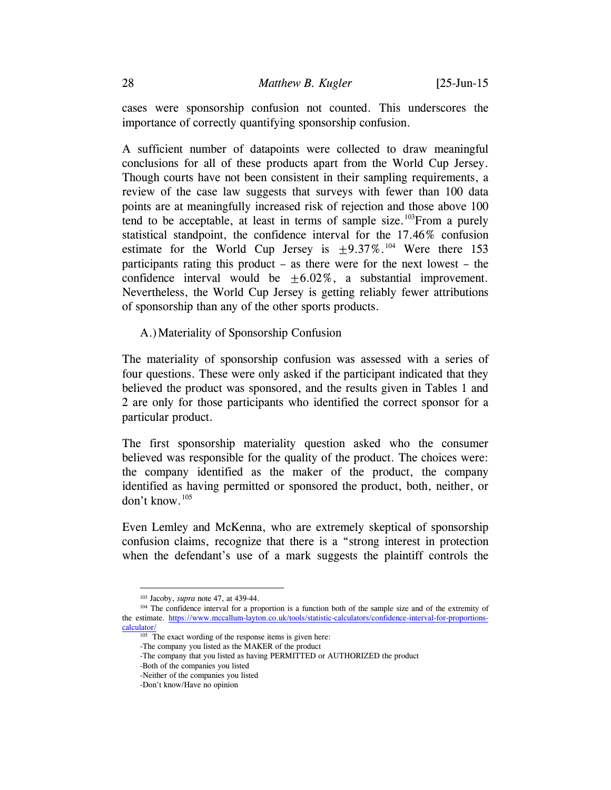cases were sponsorship confusion not counted. This underscores the importance of correctly quantifying sponsorship confusion.

A sufficient number of datapoints were collected to draw meaningful conclusions for all of these products apart from the World Cup Jersey. Though courts have not been consistent in their sampling requirements, a review of the case law suggests that surveys with fewer than 100 data points are at meaningfully increased risk of rejection and those above 100 tend to be acceptable, at least in terms of sample size.<sup>103</sup>From a purely statistical standpoint, the confidence interval for the 17.46% confusion estimate for the World Cup Jersey is  $+9.37\%$ .<sup>[104](#page-27-1)</sup> Were there 153 participants rating this product – as there were for the next lowest – the confidence interval would be  $\pm 6.02\%$ , a substantial improvement. Nevertheless, the World Cup Jersey is getting reliably fewer attributions of sponsorship than any of the other sports products.

## A.)Materiality of Sponsorship Confusion

The materiality of sponsorship confusion was assessed with a series of four questions. These were only asked if the participant indicated that they believed the product was sponsored, and the results given in Tables 1 and 2 are only for those participants who identified the correct sponsor for a particular product.

The first sponsorship materiality question asked who the consumer believed was responsible for the quality of the product. The choices were: the company identified as the maker of the product, the company identified as having permitted or sponsored the product, both, neither, or don't know.[105](#page-27-2)

Even Lemley and McKenna, who are extremely skeptical of sponsorship confusion claims, recognize that there is a "strong interest in protection when the defendant's use of a mark suggests the plaintiff controls the

 <sup>103</sup> Jacoby, *supra* note [47,](#page-12-0) at 439-44.

<span id="page-27-2"></span><span id="page-27-1"></span><span id="page-27-0"></span><sup>&</sup>lt;sup>104</sup> The confidence interval for a proportion is a function both of the sample size and of the extremity of the estimate. [https://www.mccallum-layton.co.uk/tools/statistic-calculators/confidence-interval-for-proportions](https://www.mccallum-layton.co.uk/tools/statistic-calculators/confidence-interval-for-proportions-calculator/)[calculator/](https://www.mccallum-layton.co.uk/tools/statistic-calculators/confidence-interval-for-proportions-calculator/)

 $105$  The exact wording of the response items is given here:

<sup>-</sup>The company you listed as the MAKER of the product

<sup>-</sup>The company that you listed as having PERMITTED or AUTHORIZED the product

<sup>-</sup>Both of the companies you listed

<sup>-</sup>Neither of the companies you listed

<sup>-</sup>Don't know/Have no opinion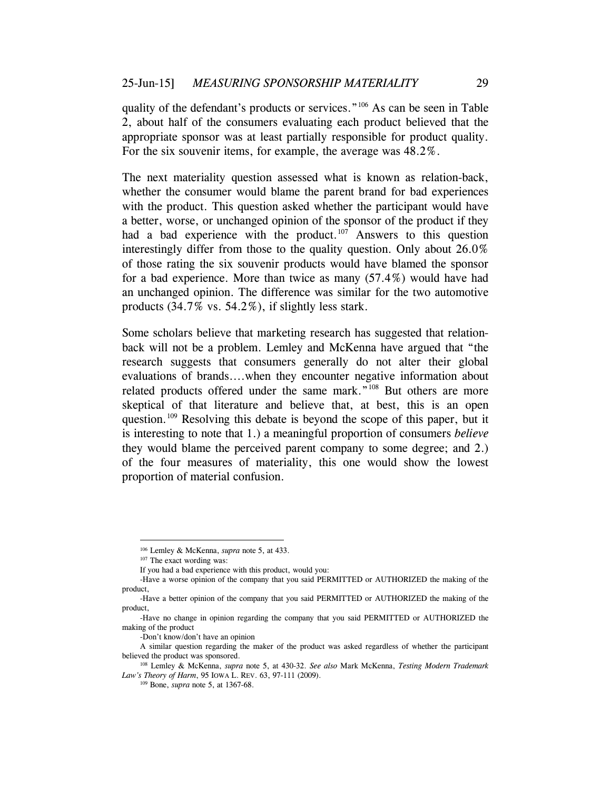quality of the defendant's products or services."<sup>[106](#page-28-0)</sup> As can be seen in Table 2, about half of the consumers evaluating each product believed that the appropriate sponsor was at least partially responsible for product quality. For the six souvenir items, for example, the average was 48.2%.

The next materiality question assessed what is known as relation-back, whether the consumer would blame the parent brand for bad experiences with the product. This question asked whether the participant would have a better, worse, or unchanged opinion of the sponsor of the product if they had a bad experience with the product. $107$  Answers to this question interestingly differ from those to the quality question. Only about 26.0% of those rating the six souvenir products would have blamed the sponsor for a bad experience. More than twice as many (57.4%) would have had an unchanged opinion. The difference was similar for the two automotive products (34.7% vs. 54.2%), if slightly less stark.

<span id="page-28-4"></span>Some scholars believe that marketing research has suggested that relationback will not be a problem. Lemley and McKenna have argued that "the research suggests that consumers generally do not alter their global evaluations of brands....when they encounter negative information about related products offered under the same mark."<sup>[108](#page-28-2)</sup> But others are more skeptical of that literature and believe that, at best, this is an open question.<sup>[109](#page-28-3)</sup> Resolving this debate is beyond the scope of this paper, but it is interesting to note that 1.) a meaningful proportion of consumers *believe* they would blame the perceived parent company to some degree; and 2.) of the four measures of materiality, this one would show the lowest proportion of material confusion.

 <sup>106</sup> Lemley & McKenna, *supra* not[e 5,](#page-1-5) at 433.

<sup>&</sup>lt;sup>107</sup> The exact wording was:

If you had a bad experience with this product, would you:

<span id="page-28-1"></span><span id="page-28-0"></span><sup>-</sup>Have a worse opinion of the company that you said PERMITTED or AUTHORIZED the making of the product,

<sup>-</sup>Have a better opinion of the company that you said PERMITTED or AUTHORIZED the making of the product,

<sup>-</sup>Have no change in opinion regarding the company that you said PERMITTED or AUTHORIZED the making of the product

<sup>-</sup>Don't know/don't have an opinion

A similar question regarding the maker of the product was asked regardless of whether the participant believed the product was sponsored.

<span id="page-28-3"></span><span id="page-28-2"></span><sup>108</sup> Lemley & McKenna, *supra* note [5,](#page-1-5) at 430-32. *See also* Mark McKenna, *Testing Modern Trademark Law's Theory of Harm*, 95 IOWA L. REV. 63, 97-111 (2009).

<sup>109</sup> Bone, *supra* not[e 5,](#page-1-5) at 1367-68.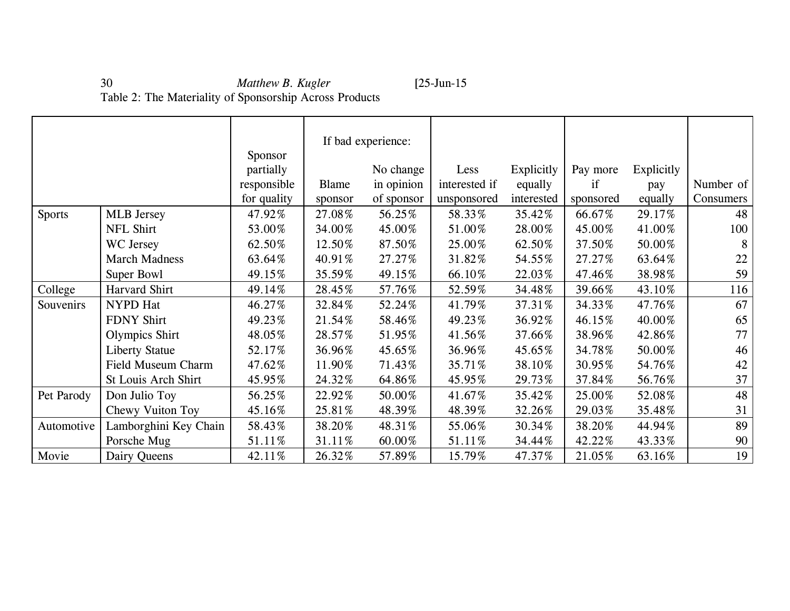# 30 *Matthew B. Kugler* [25-Jun-15 Table 2: The Materiality of Sponsorship Across Products

|               |                           |             |              | If bad experience: |               |            |           |            |           |
|---------------|---------------------------|-------------|--------------|--------------------|---------------|------------|-----------|------------|-----------|
|               |                           | Sponsor     |              |                    |               |            |           |            |           |
|               |                           | partially   |              | No change          | Less          | Explicitly | Pay more  | Explicitly |           |
|               |                           | responsible | <b>Blame</b> | in opinion         | interested if | equally    | if        | pay        | Number of |
|               |                           | for quality | sponsor      | of sponsor         | unsponsored   | interested | sponsored | equally    | Consumers |
| <b>Sports</b> | <b>MLB</b> Jersey         | 47.92%      | 27.08%       | 56.25%             | 58.33%        | 35.42%     | 66.67%    | 29.17%     | 48        |
|               | NFL Shirt                 | 53.00%      | 34.00%       | 45.00%             | 51.00%        | 28.00%     | 45.00%    | 41.00%     | 100       |
|               | WC Jersey                 | 62.50%      | 12.50%       | 87.50%             | 25.00%        | 62.50%     | 37.50%    | 50.00%     | 8         |
|               | <b>March Madness</b>      | 63.64%      | 40.91%       | 27.27%             | 31.82%        | 54.55%     | 27.27%    | 63.64%     | 22        |
|               | Super Bowl                | 49.15%      | 35.59%       | 49.15%             | 66.10%        | 22.03%     | 47.46%    | 38.98%     | 59        |
| College       | Harvard Shirt             | 49.14%      | 28.45%       | 57.76%             | 52.59%        | 34.48%     | 39.66%    | 43.10%     | 116       |
| Souvenirs     | NYPD Hat                  | 46.27%      | 32.84%       | 52.24%             | 41.79%        | 37.31%     | 34.33%    | 47.76%     | 67        |
|               | <b>FDNY Shirt</b>         | 49.23%      | 21.54%       | 58.46%             | 49.23%        | 36.92%     | 46.15%    | 40.00%     | 65        |
|               | <b>Olympics Shirt</b>     | 48.05%      | 28.57%       | 51.95%             | 41.56%        | 37.66%     | 38.96%    | 42.86%     | 77        |
|               | <b>Liberty Statue</b>     | 52.17%      | 36.96%       | 45.65%             | 36.96%        | 45.65%     | 34.78%    | 50.00%     | 46        |
|               | <b>Field Museum Charm</b> | 47.62%      | 11.90%       | 71.43%             | 35.71%        | 38.10%     | 30.95%    | 54.76%     | 42        |
|               | St Louis Arch Shirt       | 45.95%      | 24.32%       | 64.86%             | 45.95%        | 29.73%     | 37.84%    | 56.76%     | 37        |
| Pet Parody    | Don Julio Toy             | 56.25%      | 22.92%       | 50.00%             | 41.67%        | 35.42%     | 25.00%    | 52.08%     | 48        |
|               | Chewy Vuiton Toy          | 45.16%      | 25.81%       | 48.39%             | 48.39%        | 32.26%     | 29.03%    | 35.48%     | 31        |
| Automotive    | Lamborghini Key Chain     | 58.43%      | 38.20%       | 48.31%             | 55.06%        | 30.34%     | 38.20%    | 44.94%     | 89        |
|               | Porsche Mug               | 51.11%      | 31.11%       | 60.00%             | 51.11%        | 34.44%     | 42.22%    | 43.33%     | 90        |
| Movie         | Dairy Queens              | 42.11%      | 26.32%       | 57.89%             | 15.79%        | 47.37%     | 21.05%    | 63.16%     | 19        |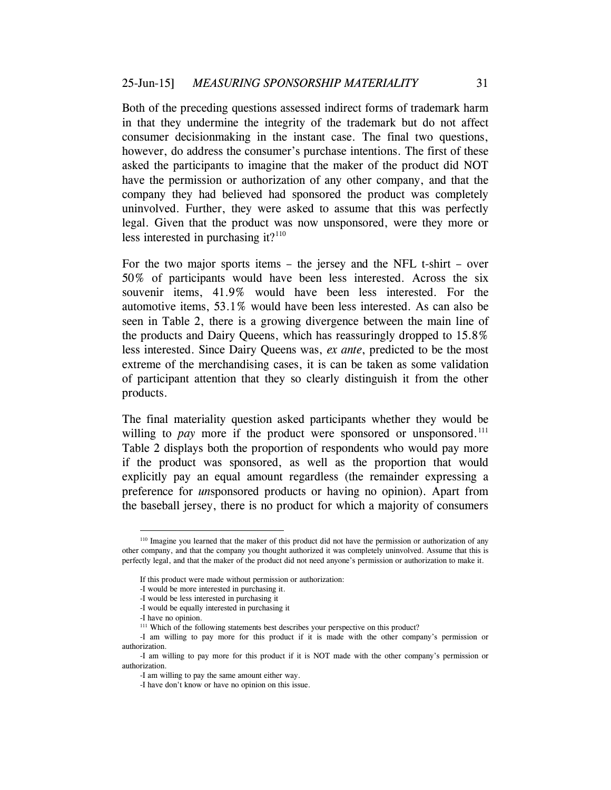Both of the preceding questions assessed indirect forms of trademark harm in that they undermine the integrity of the trademark but do not affect consumer decisionmaking in the instant case. The final two questions, however, do address the consumer's purchase intentions. The first of these asked the participants to imagine that the maker of the product did NOT have the permission or authorization of any other company, and that the company they had believed had sponsored the product was completely uninvolved. Further, they were asked to assume that this was perfectly legal. Given that the product was now unsponsored, were they more or less interested in purchasing it? $110$ 

For the two major sports items – the jersey and the NFL t-shirt – over 50% of participants would have been less interested. Across the six souvenir items, 41.9% would have been less interested. For the automotive items, 53.1% would have been less interested. As can also be seen in Table 2, there is a growing divergence between the main line of the products and Dairy Queens, which has reassuringly dropped to 15.8% less interested. Since Dairy Queens was, *ex ante*, predicted to be the most extreme of the merchandising cases, it is can be taken as some validation of participant attention that they so clearly distinguish it from the other products.

The final materiality question asked participants whether they would be willing to *pay* more if the product were sponsored or unsponsored.<sup>[111](#page-30-1)</sup> Table 2 displays both the proportion of respondents who would pay more if the product was sponsored, as well as the proportion that would explicitly pay an equal amount regardless (the remainder expressing a preference for *un*sponsored products or having no opinion). Apart from the baseball jersey, there is no product for which a majority of consumers

<span id="page-30-0"></span><sup>&</sup>lt;sup>110</sup> Imagine you learned that the maker of this product did not have the permission or authorization of any other company, and that the company you thought authorized it was completely uninvolved. Assume that this is perfectly legal, and that the maker of the product did not need anyone's permission or authorization to make it.

If this product were made without permission or authorization:

<sup>-</sup>I would be more interested in purchasing it.

<sup>-</sup>I would be less interested in purchasing it

<sup>-</sup>I would be equally interested in purchasing it

<sup>-</sup>I have no opinion.

<sup>&</sup>lt;sup>111</sup> Which of the following statements best describes your perspective on this product?

<span id="page-30-1"></span><sup>-</sup>I am willing to pay more for this product if it is made with the other company's permission or authorization.

<sup>-</sup>I am willing to pay more for this product if it is NOT made with the other company's permission or authorization.

<sup>-</sup>I am willing to pay the same amount either way.

<sup>-</sup>I have don't know or have no opinion on this issue.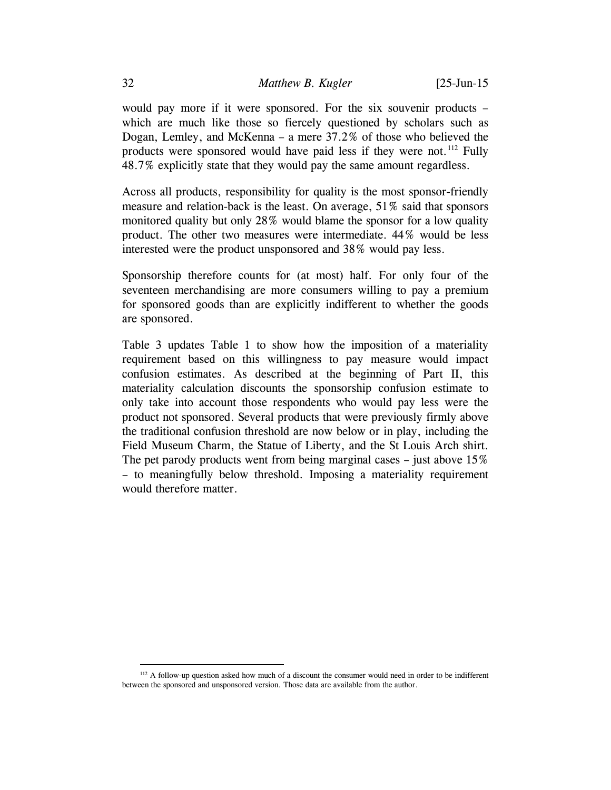would pay more if it were sponsored. For the six souvenir products – which are much like those so fiercely questioned by scholars such as Dogan, Lemley, and McKenna – a mere 37.2% of those who believed the products were sponsored would have paid less if they were not.<sup>[112](#page-31-0)</sup> Fully 48.7% explicitly state that they would pay the same amount regardless.

Across all products, responsibility for quality is the most sponsor-friendly measure and relation-back is the least. On average, 51% said that sponsors monitored quality but only 28% would blame the sponsor for a low quality product. The other two measures were intermediate. 44% would be less interested were the product unsponsored and 38% would pay less.

Sponsorship therefore counts for (at most) half. For only four of the seventeen merchandising are more consumers willing to pay a premium for sponsored goods than are explicitly indifferent to whether the goods are sponsored.

Table 3 updates Table 1 to show how the imposition of a materiality requirement based on this willingness to pay measure would impact confusion estimates. As described at the beginning of Part II, this materiality calculation discounts the sponsorship confusion estimate to only take into account those respondents who would pay less were the product not sponsored. Several products that were previously firmly above the traditional confusion threshold are now below or in play, including the Field Museum Charm, the Statue of Liberty, and the St Louis Arch shirt. The pet parody products went from being marginal cases – just above 15% – to meaningfully below threshold. Imposing a materiality requirement would therefore matter.

<span id="page-31-0"></span> <sup>112</sup> A follow-up question asked how much of a discount the consumer would need in order to be indifferent between the sponsored and unsponsored version. Those data are available from the author.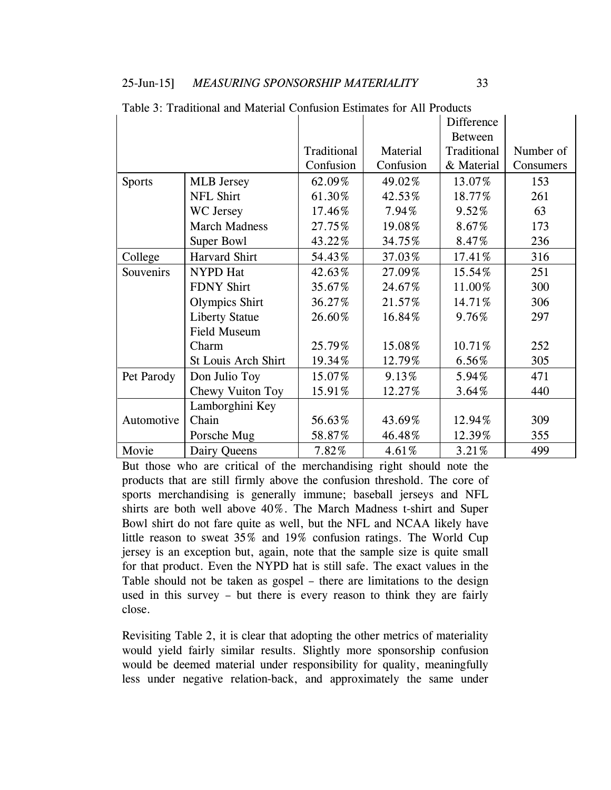|               |                       |             |           | <b>Difference</b> |           |
|---------------|-----------------------|-------------|-----------|-------------------|-----------|
|               |                       |             |           | <b>Between</b>    |           |
|               |                       | Traditional | Material  | Traditional       | Number of |
|               |                       | Confusion   | Confusion | & Material        | Consumers |
| <b>Sports</b> | <b>MLB</b> Jersey     | 62.09%      | 49.02%    | 13.07%            | 153       |
|               | <b>NFL Shirt</b>      | 61.30%      | 42.53%    | 18.77%            | 261       |
|               | WC Jersey             | 17.46%      | 7.94%     | 9.52%             | 63        |
|               | <b>March Madness</b>  | 27.75%      | 19.08%    | 8.67%             | 173       |
|               | Super Bowl            | 43.22%      | 34.75%    | 8.47%             | 236       |
| College       | Harvard Shirt         | 54.43%      | 37.03%    | 17.41%            | 316       |
| Souvenirs     | NYPD Hat              | 42.63%      | 27.09%    | 15.54%            | 251       |
|               | <b>FDNY Shirt</b>     | 35.67%      | 24.67%    | 11.00%            | 300       |
|               | <b>Olympics Shirt</b> | 36.27%      | 21.57%    | 14.71%            | 306       |
|               | <b>Liberty Statue</b> | 26.60%      | 16.84%    | 9.76%             | 297       |
|               | Field Museum          |             |           |                   |           |
|               | Charm                 | 25.79%      | 15.08%    | 10.71%            | 252       |
|               | St Louis Arch Shirt   | 19.34%      | 12.79%    | 6.56%             | 305       |
| Pet Parody    | Don Julio Toy         | 15.07%      | 9.13%     | 5.94%             | 471       |
|               | Chewy Vuiton Toy      | 15.91%      | 12.27%    | 3.64%             | 440       |
|               | Lamborghini Key       |             |           |                   |           |
| Automotive    | Chain                 | 56.63%      | 43.69%    | 12.94%            | 309       |
|               | Porsche Mug           | 58.87%      | 46.48%    | 12.39%            | 355       |
| Movie         | Dairy Queens          | 7.82%       | 4.61%     | 3.21%             | 499       |

Table 3: Traditional and Material Confusion Estimates for All Products

But those who are critical of the merchandising right should note the products that are still firmly above the confusion threshold. The core of sports merchandising is generally immune; baseball jerseys and NFL shirts are both well above 40%. The March Madness t-shirt and Super Bowl shirt do not fare quite as well, but the NFL and NCAA likely have little reason to sweat 35% and 19% confusion ratings. The World Cup jersey is an exception but, again, note that the sample size is quite small for that product. Even the NYPD hat is still safe. The exact values in the Table should not be taken as gospel – there are limitations to the design used in this survey – but there is every reason to think they are fairly close.

Revisiting Table 2, it is clear that adopting the other metrics of materiality would yield fairly similar results. Slightly more sponsorship confusion would be deemed material under responsibility for quality, meaningfully less under negative relation-back, and approximately the same under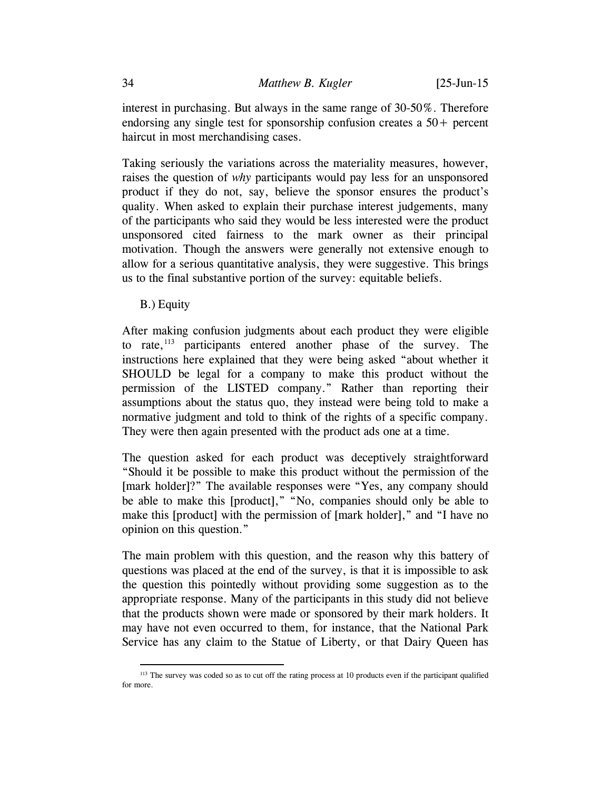interest in purchasing. But always in the same range of 30-50%. Therefore endorsing any single test for sponsorship confusion creates a  $50+$  percent haircut in most merchandising cases.

Taking seriously the variations across the materiality measures, however, raises the question of *why* participants would pay less for an unsponsored product if they do not, say, believe the sponsor ensures the product's quality. When asked to explain their purchase interest judgements, many of the participants who said they would be less interested were the product unsponsored cited fairness to the mark owner as their principal motivation. Though the answers were generally not extensive enough to allow for a serious quantitative analysis, they were suggestive. This brings us to the final substantive portion of the survey: equitable beliefs.

B.) Equity

After making confusion judgments about each product they were eligible to rate, $113$  participants entered another phase of the survey. The instructions here explained that they were being asked "about whether it SHOULD be legal for a company to make this product without the permission of the LISTED company." Rather than reporting their assumptions about the status quo, they instead were being told to make a normative judgment and told to think of the rights of a specific company. They were then again presented with the product ads one at a time.

The question asked for each product was deceptively straightforward "Should it be possible to make this product without the permission of the [mark holder]?" The available responses were "Yes, any company should be able to make this [product]," "No, companies should only be able to make this [product] with the permission of [mark holder]," and "I have no opinion on this question."

The main problem with this question, and the reason why this battery of questions was placed at the end of the survey, is that it is impossible to ask the question this pointedly without providing some suggestion as to the appropriate response. Many of the participants in this study did not believe that the products shown were made or sponsored by their mark holders. It may have not even occurred to them, for instance, that the National Park Service has any claim to the Statue of Liberty, or that Dairy Queen has

<span id="page-33-0"></span><sup>&</sup>lt;sup>113</sup> The survey was coded so as to cut off the rating process at 10 products even if the participant qualified for more.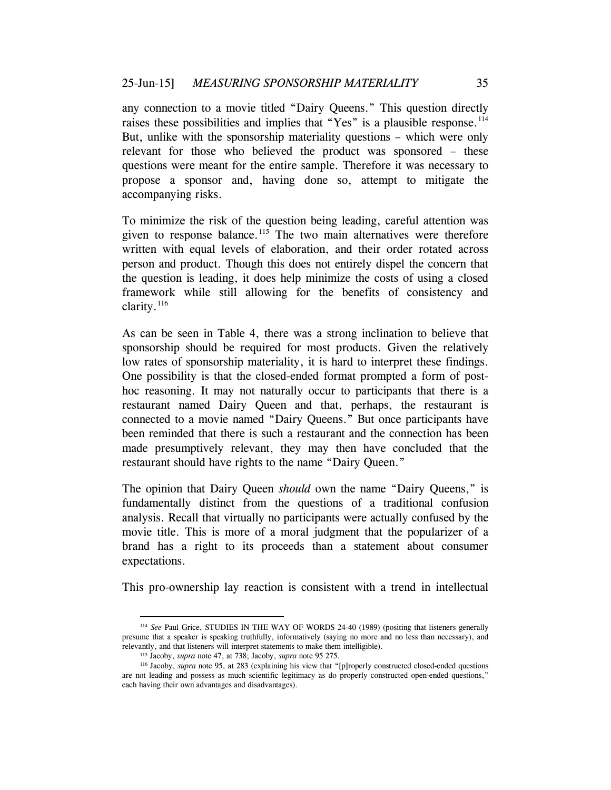any connection to a movie titled "Dairy Queens." This question directly raises these possibilities and implies that "Yes" is a plausible response.<sup>[114](#page-34-0)</sup> But, unlike with the sponsorship materiality questions – which were only relevant for those who believed the product was sponsored – these questions were meant for the entire sample. Therefore it was necessary to propose a sponsor and, having done so, attempt to mitigate the accompanying risks.

To minimize the risk of the question being leading, careful attention was given to response balance.<sup>[115](#page-34-1)</sup> The two main alternatives were therefore written with equal levels of elaboration, and their order rotated across person and product. Though this does not entirely dispel the concern that the question is leading, it does help minimize the costs of using a closed framework while still allowing for the benefits of consistency and clarity. $^{116}$  $^{116}$  $^{116}$ 

As can be seen in Table 4, there was a strong inclination to believe that sponsorship should be required for most products. Given the relatively low rates of sponsorship materiality, it is hard to interpret these findings. One possibility is that the closed-ended format prompted a form of posthoc reasoning. It may not naturally occur to participants that there is a restaurant named Dairy Queen and that, perhaps, the restaurant is connected to a movie named "Dairy Queens." But once participants have been reminded that there is such a restaurant and the connection has been made presumptively relevant, they may then have concluded that the restaurant should have rights to the name "Dairy Queen."

The opinion that Dairy Queen *should* own the name "Dairy Queens," is fundamentally distinct from the questions of a traditional confusion analysis. Recall that virtually no participants were actually confused by the movie title. This is more of a moral judgment that the popularizer of a brand has a right to its proceeds than a statement about consumer expectations.

This pro-ownership lay reaction is consistent with a trend in intellectual

<span id="page-34-0"></span> <sup>114</sup> *See* Paul Grice, STUDIES IN THE WAY OF WORDS 24-40 (1989) (positing that listeners generally presume that a speaker is speaking truthfully, informatively (saying no more and no less than necessary), and relevantly, and that listeners will interpret statements to make them intelligible). 115 Jacoby, *supra* note [47,](#page-12-0) at 738; Jacoby, *supra* note [95](#page-24-2) 275.

<span id="page-34-2"></span><span id="page-34-1"></span><sup>116</sup> Jacoby, *supra* note [95,](#page-24-2) at 283 (explaining his view that "[p]roperly constructed closed-ended questions are not leading and possess as much scientific legitimacy as do properly constructed open-ended questions," each having their own advantages and disadvantages).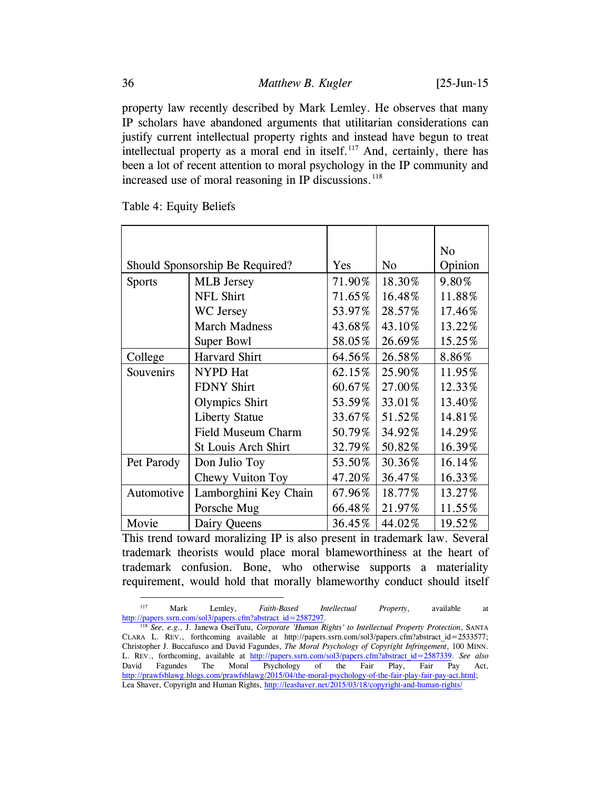property law recently described by Mark Lemley. He observes that many IP scholars have abandoned arguments that utilitarian considerations can justify current intellectual property rights and instead have begun to treat intellectual property as a moral end in itself. $117$  And, certainly, there has been a lot of recent attention to moral psychology in the IP community and increased use of moral reasoning in IP discussions.<sup>[118](#page-35-1)</sup>

|                                 |                            |                |         | No     |
|---------------------------------|----------------------------|----------------|---------|--------|
| Should Sponsorship Be Required? | Yes                        | N <sub>0</sub> | Opinion |        |
| <b>Sports</b>                   | <b>MLB</b> Jersey          | 71.90%         | 18.30%  | 9.80%  |
|                                 | <b>NFL Shirt</b>           | 71.65%         | 16.48%  | 11.88% |
|                                 | WC Jersey                  | 53.97%         | 28.57%  | 17.46% |
|                                 | <b>March Madness</b>       | 43.68%         | 43.10%  | 13.22% |
|                                 | Super Bowl                 | 58.05%         | 26.69%  | 15.25% |
| College                         | <b>Harvard Shirt</b>       | 64.56%         | 26.58%  | 8.86%  |
| Souvenirs                       | <b>NYPD</b> Hat            | 62.15%         | 25.90%  | 11.95% |
|                                 | <b>FDNY Shirt</b>          | 60.67%         | 27.00%  | 12.33% |
| <b>Olympics Shirt</b>           |                            | 53.59%         | 33.01%  | 13.40% |
|                                 | <b>Liberty Statue</b>      | 33.67%         | 51.52%  | 14.81% |
|                                 | Field Museum Charm         | 50.79%         | 34.92%  | 14.29% |
|                                 | <b>St Louis Arch Shirt</b> | 32.79%         | 50.82%  | 16.39% |
| Pet Parody                      | Don Julio Toy              | 53.50%         | 30.36%  | 16.14% |
|                                 | Chewy Vuiton Toy           | 47.20%         | 36.47%  | 16.33% |
| Automotive                      | Lamborghini Key Chain      | 67.96%         | 18.77%  | 13.27% |
|                                 | Porsche Mug                | 66.48%         | 21.97%  | 11.55% |
| Movie                           | Dairy Queens               | 36.45%         | 44.02%  | 19.52% |

Table 4: Equity Beliefs

This trend toward moralizing IP is also present in trademark law. Several trademark theorists would place moral blameworthiness at the heart of trademark confusion. Bone, who otherwise supports a materiality requirement, would hold that morally blameworthy conduct should itself

<span id="page-35-0"></span> <sup>117</sup> Mark Lemley, *Faith-Based Intellectual Property*, available at [http://papers.ssrn.com/sol3/papers.cfm?abstract\\_id=2587297.](http://papers.ssrn.com/sol3/papers.cfm?abstract_id=2587297) 118 *See, e.g.,* J. Janewa OseiTutu, *Corporate 'Human Rights' to Intellectual Property Protection*, SANTA

<span id="page-35-1"></span>CLARA L. REV., forthcoming available at http://papers.ssrn.com/sol3/papers.cfm?abstract\_id=2533577; Christopher J. Buccafusco and David Fagundes, *The Moral Psychology of Copyright Infringement*, 100 MINN. L. REV., forthcoming, available at [http://papers.ssrn.com/sol3/papers.cfm?abstract\\_id=2587339.](http://papers.ssrn.com/sol3/papers.cfm?abstract_id=2587339) *See also* David Fagundes The Moral Psychology of the Fair Play, Fair Pay Act, [http://prawfsblawg.blogs.com/prawfsblawg/2015/04/the-moral-psychology-of-the-fair-play-fair-pay-act.html;](http://prawfsblawg.blogs.com/prawfsblawg/2015/04/the-moral-psychology-of-the-fair-play-fair-pay-act.html) Lea Shaver, Copyright and Human Rights,<http://leashaver.net/2015/03/18/copyright-and-human-rights/>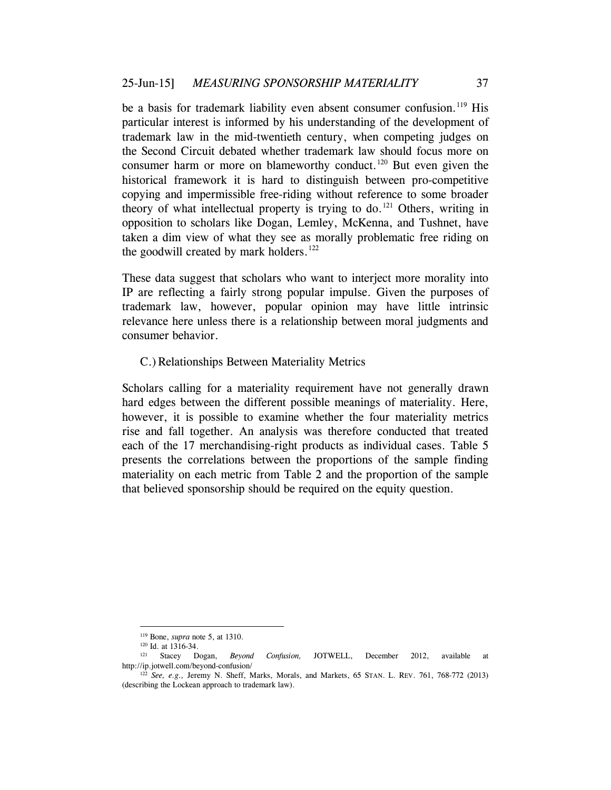be a basis for trademark liability even absent consumer confusion.<sup>[119](#page-36-0)</sup> His particular interest is informed by his understanding of the development of trademark law in the mid-twentieth century, when competing judges on the Second Circuit debated whether trademark law should focus more on consumer harm or more on blameworthy conduct.<sup>[120](#page-36-1)</sup> But even given the historical framework it is hard to distinguish between pro-competitive copying and impermissible free-riding without reference to some broader theory of what intellectual property is trying to do.<sup>[121](#page-36-2)</sup> Others, writing in opposition to scholars like Dogan, Lemley, McKenna, and Tushnet, have taken a dim view of what they see as morally problematic free riding on the goodwill created by mark holders. $122$ 

These data suggest that scholars who want to interject more morality into IP are reflecting a fairly strong popular impulse. Given the purposes of trademark law, however, popular opinion may have little intrinsic relevance here unless there is a relationship between moral judgments and consumer behavior.

## C.)Relationships Between Materiality Metrics

Scholars calling for a materiality requirement have not generally drawn hard edges between the different possible meanings of materiality. Here, however, it is possible to examine whether the four materiality metrics rise and fall together. An analysis was therefore conducted that treated each of the 17 merchandising-right products as individual cases. Table 5 presents the correlations between the proportions of the sample finding materiality on each metric from Table 2 and the proportion of the sample that believed sponsorship should be required on the equity question.

 <sup>119</sup> Bone, *supra* not[e 5,](#page-1-5) at 1310.

<span id="page-36-2"></span><span id="page-36-1"></span><span id="page-36-0"></span><sup>&</sup>lt;sup>120</sup> Id. at 1316-34.<br><sup>121</sup> Stacey Dogan, <sup>121</sup> Stacey Dogan, *Beyond Confusion,* JOTWELL, December 2012, available at http://ip.jotwell.com/beyond-confusion/

<span id="page-36-3"></span><sup>122</sup> *See, e.g.,* Jeremy N. Sheff, Marks, Morals, and Markets, 65 STAN. L. REV. 761, 768-772 (2013) (describing the Lockean approach to trademark law).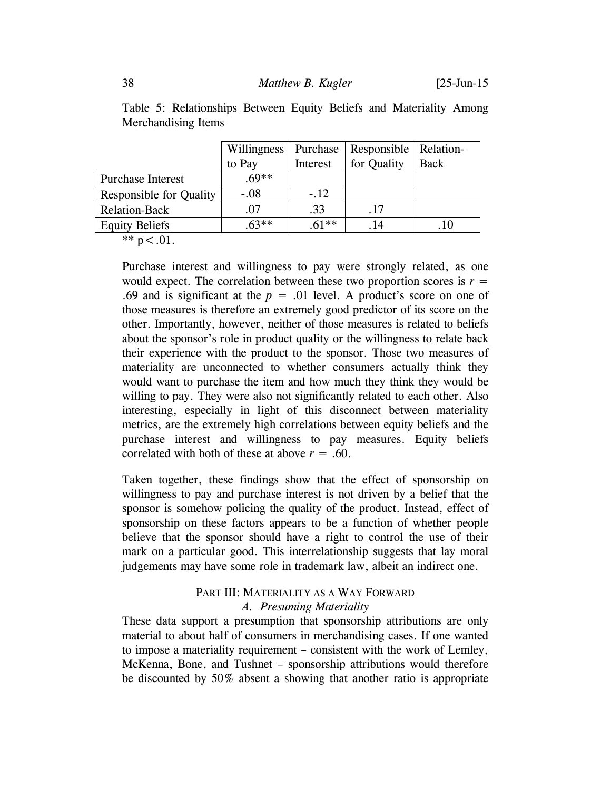|  | Table 5: Relationships Between Equity Beliefs and Materiality Among |  |  |  |
|--|---------------------------------------------------------------------|--|--|--|
|  | <b>Merchandising Items</b>                                          |  |  |  |

|                                | Willingness | Purchase | Responsible   Relation- |             |
|--------------------------------|-------------|----------|-------------------------|-------------|
|                                | to Pay      | Interest | for Quality             | <b>Back</b> |
| <b>Purchase Interest</b>       | .69**       |          |                         |             |
| <b>Responsible for Quality</b> | $-.08$      | $-.12$   |                         |             |
| <b>Relation-Back</b>           | .07         | .33      | .17                     |             |
| <b>Equity Beliefs</b>          | $63**$      | $.61**$  | . 14                    | .10         |

\*\*  $p < .01$ .

Purchase interest and willingness to pay were strongly related, as one would expect. The correlation between these two proportion scores is  $r =$ .69 and is significant at the  $p = .01$  level. A product's score on one of those measures is therefore an extremely good predictor of its score on the other. Importantly, however, neither of those measures is related to beliefs about the sponsor's role in product quality or the willingness to relate back their experience with the product to the sponsor. Those two measures of materiality are unconnected to whether consumers actually think they would want to purchase the item and how much they think they would be willing to pay. They were also not significantly related to each other. Also interesting, especially in light of this disconnect between materiality metrics, are the extremely high correlations between equity beliefs and the purchase interest and willingness to pay measures. Equity beliefs correlated with both of these at above  $r = .60$ .

Taken together, these findings show that the effect of sponsorship on willingness to pay and purchase interest is not driven by a belief that the sponsor is somehow policing the quality of the product. Instead, effect of sponsorship on these factors appears to be a function of whether people believe that the sponsor should have a right to control the use of their mark on a particular good. This interrelationship suggests that lay moral judgements may have some role in trademark law, albeit an indirect one.

## PART III: MATERIALITY AS A WAY FORWARD *A. Presuming Materiality*

These data support a presumption that sponsorship attributions are only material to about half of consumers in merchandising cases. If one wanted to impose a materiality requirement – consistent with the work of Lemley, McKenna, Bone, and Tushnet – sponsorship attributions would therefore be discounted by 50% absent a showing that another ratio is appropriate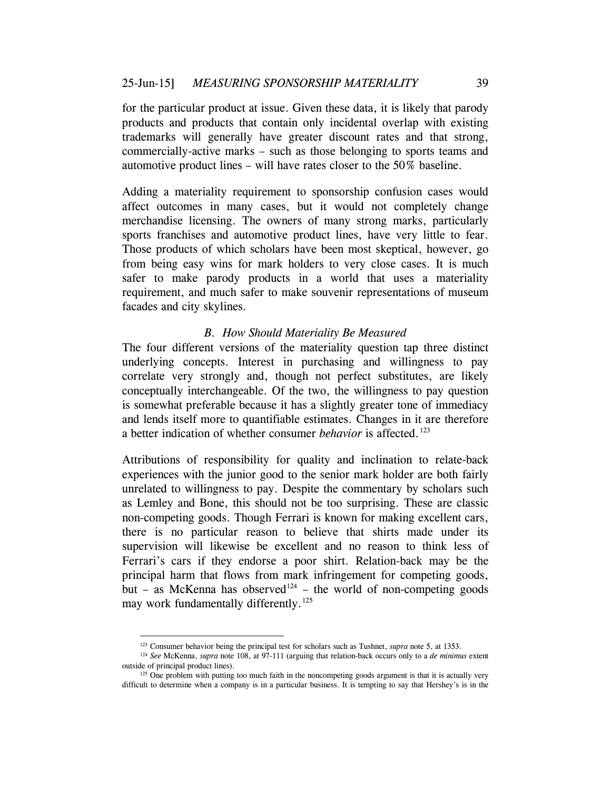for the particular product at issue. Given these data, it is likely that parody products and products that contain only incidental overlap with existing trademarks will generally have greater discount rates and that strong, commercially-active marks – such as those belonging to sports teams and automotive product lines – will have rates closer to the 50% baseline.

Adding a materiality requirement to sponsorship confusion cases would affect outcomes in many cases, but it would not completely change merchandise licensing. The owners of many strong marks, particularly sports franchises and automotive product lines, have very little to fear. Those products of which scholars have been most skeptical, however, go from being easy wins for mark holders to very close cases. It is much safer to make parody products in a world that uses a materiality requirement, and much safer to make souvenir representations of museum facades and city skylines.

### *B. How Should Materiality Be Measured*

The four different versions of the materiality question tap three distinct underlying concepts. Interest in purchasing and willingness to pay correlate very strongly and, though not perfect substitutes, are likely conceptually interchangeable. Of the two, the willingness to pay question is somewhat preferable because it has a slightly greater tone of immediacy and lends itself more to quantifiable estimates. Changes in it are therefore a better indication of whether consumer *behavior* is affected.<sup>[123](#page-38-0)</sup>

Attributions of responsibility for quality and inclination to relate-back experiences with the junior good to the senior mark holder are both fairly unrelated to willingness to pay. Despite the commentary by scholars such as Lemley and Bone, this should not be too surprising. These are classic non-competing goods. Though Ferrari is known for making excellent cars, there is no particular reason to believe that shirts made under its supervision will likewise be excellent and no reason to think less of Ferrari's cars if they endorse a poor shirt. Relation-back may be the principal harm that flows from mark infringement for competing goods, but – as McKenna has observed<sup>[124](#page-38-1)</sup> – the world of non-competing goods may work fundamentally differently.<sup>[125](#page-38-2)</sup>

<sup>&</sup>lt;sup>123</sup> Consumer behavior being the principal test for scholars such as Tushnet, *supra* note [5,](#page-1-5) at 1353.

<span id="page-38-1"></span><span id="page-38-0"></span><sup>124</sup> *See* McKenna, *supra* note [108,](#page-28-4) at 97-111 (arguing that relation-back occurs only to a *de minimus* extent outside of principal product lines).

<span id="page-38-2"></span><sup>&</sup>lt;sup>125</sup> One problem with putting too much faith in the noncompeting goods argument is that it is actually very difficult to determine when a company is in a particular business. It is tempting to say that Hershey's is in the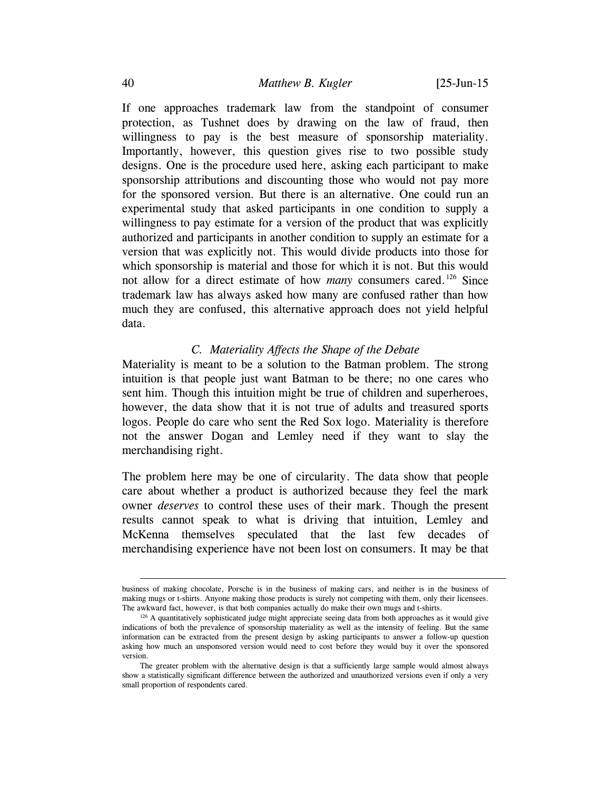If one approaches trademark law from the standpoint of consumer protection, as Tushnet does by drawing on the law of fraud, then willingness to pay is the best measure of sponsorship materiality. Importantly, however, this question gives rise to two possible study designs. One is the procedure used here, asking each participant to make sponsorship attributions and discounting those who would not pay more for the sponsored version. But there is an alternative. One could run an experimental study that asked participants in one condition to supply a willingness to pay estimate for a version of the product that was explicitly authorized and participants in another condition to supply an estimate for a version that was explicitly not. This would divide products into those for which sponsorship is material and those for which it is not. But this would not allow for a direct estimate of how *many* consumers cared.<sup>[126](#page-39-0)</sup> Since trademark law has always asked how many are confused rather than how much they are confused, this alternative approach does not yield helpful data.

## *C. Materiality Affects the Shape of the Debate*

Materiality is meant to be a solution to the Batman problem. The strong intuition is that people just want Batman to be there; no one cares who sent him. Though this intuition might be true of children and superheroes, however, the data show that it is not true of adults and treasured sports logos. People do care who sent the Red Sox logo. Materiality is therefore not the answer Dogan and Lemley need if they want to slay the merchandising right.

The problem here may be one of circularity. The data show that people care about whether a product is authorized because they feel the mark owner *deserves* to control these uses of their mark. Though the present results cannot speak to what is driving that intuition, Lemley and McKenna themselves speculated that the last few decades of merchandising experience have not been lost on consumers. It may be that

business of making chocolate, Porsche is in the business of making cars, and neither is in the business of making mugs or t-shirts. Anyone making those products is surely not competing with them, only their licensees.<br>The awkward fact, however, is that both companies actually do make their own mugs and t-shirts.

<span id="page-39-0"></span> $126$  A quantitatively sophisticated judge might appreciate seeing data from both approaches as it would give indications of both the prevalence of sponsorship materiality as well as the intensity of feeling. But the same information can be extracted from the present design by asking participants to answer a follow-up question asking how much an unsponsored version would need to cost before they would buy it over the sponsored version.

The greater problem with the alternative design is that a sufficiently large sample would almost always show a statistically significant difference between the authorized and unauthorized versions even if only a very small proportion of respondents cared.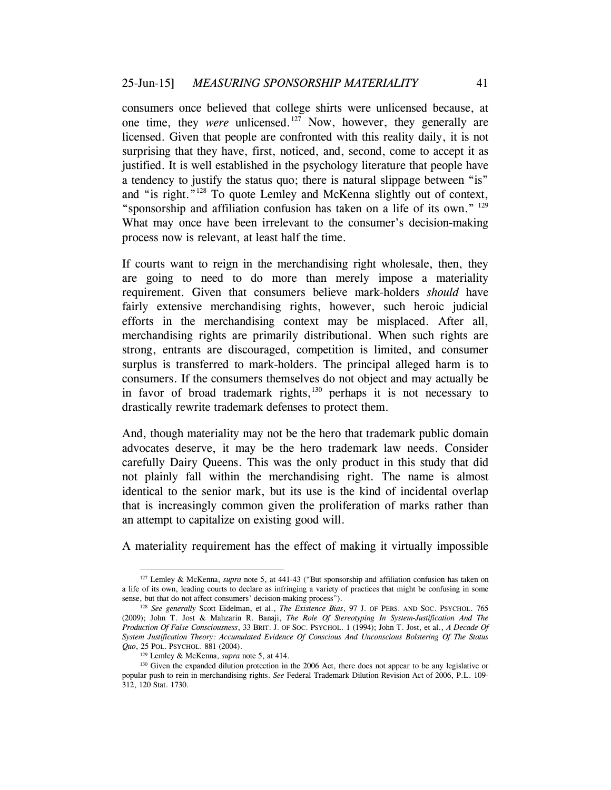consumers once believed that college shirts were unlicensed because, at one time, they *were* unlicensed.[127](#page-40-0) Now, however, they generally are licensed. Given that people are confronted with this reality daily, it is not surprising that they have, first, noticed, and, second, come to accept it as justified. It is well established in the psychology literature that people have a tendency to justify the status quo; there is natural slippage between "is" and "is right."[128](#page-40-1) To quote Lemley and McKenna slightly out of context, "sponsorship and affiliation confusion has taken on a life of its own." [129](#page-40-2) What may once have been irrelevant to the consumer's decision-making process now is relevant, at least half the time.

If courts want to reign in the merchandising right wholesale, then, they are going to need to do more than merely impose a materiality requirement. Given that consumers believe mark-holders *should* have fairly extensive merchandising rights, however, such heroic judicial efforts in the merchandising context may be misplaced. After all, merchandising rights are primarily distributional. When such rights are strong, entrants are discouraged, competition is limited, and consumer surplus is transferred to mark-holders. The principal alleged harm is to consumers. If the consumers themselves do not object and may actually be in favor of broad trademark rights, [130](#page-40-3) perhaps it is not necessary to drastically rewrite trademark defenses to protect them.

And, though materiality may not be the hero that trademark public domain advocates deserve, it may be the hero trademark law needs. Consider carefully Dairy Queens. This was the only product in this study that did not plainly fall within the merchandising right. The name is almost identical to the senior mark, but its use is the kind of incidental overlap that is increasingly common given the proliferation of marks rather than an attempt to capitalize on existing good will.

A materiality requirement has the effect of making it virtually impossible

<span id="page-40-0"></span> <sup>127</sup> Lemley & McKenna, *supra* note [5,](#page-1-5) at 441-43 ("But sponsorship and affiliation confusion has taken on a life of its own, leading courts to declare as infringing a variety of practices that might be confusing in some sense, but that do not affect consumers' decision-making process").

<span id="page-40-1"></span><sup>128</sup> *See generally* Scott Eidelman, et al., *The Existence Bias*, 97 J. OF PERS. AND SOC. PSYCHOL. 765 (2009); John T. Jost & Mahzarin R. Banaji, *The Role Of Stereotyping In System-Justification And The Production Of False Consciousness*, 33 BRIT. J. OF SOC. PSYCHOL. 1 (1994); John T. Jost, et al., *A Decade Of System Justification Theory: Accumulated Evidence Of Conscious And Unconscious Bolstering Of The Status Quo*, 25 POL. PSYCHOL. 881 (2004).

<sup>129</sup> Lemley & McKenna, *supra* not[e 5,](#page-1-5) at 414.

<span id="page-40-3"></span><span id="page-40-2"></span><sup>&</sup>lt;sup>130</sup> Given the expanded dilution protection in the 2006 Act, there does not appear to be any legislative or popular push to rein in merchandising rights. *See* Federal Trademark Dilution Revision Act of 2006, P.L. 109- 312, 120 Stat. 1730.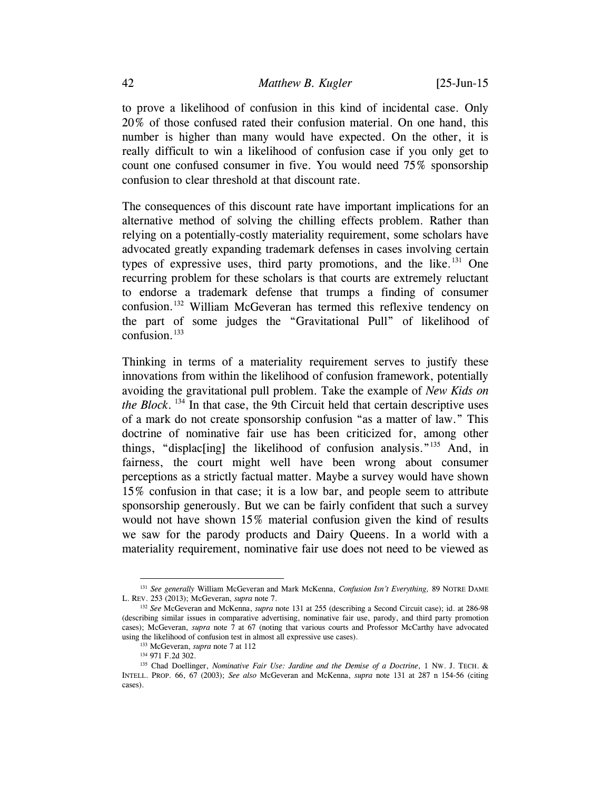to prove a likelihood of confusion in this kind of incidental case. Only 20% of those confused rated their confusion material. On one hand, this number is higher than many would have expected. On the other, it is really difficult to win a likelihood of confusion case if you only get to count one confused consumer in five. You would need 75% sponsorship confusion to clear threshold at that discount rate.

<span id="page-41-0"></span>The consequences of this discount rate have important implications for an alternative method of solving the chilling effects problem. Rather than relying on a potentially-costly materiality requirement, some scholars have advocated greatly expanding trademark defenses in cases involving certain types of expressive uses, third party promotions, and the like.<sup>[131](#page-41-1)</sup> One recurring problem for these scholars is that courts are extremely reluctant to endorse a trademark defense that trumps a finding of consumer confusion.<sup>[132](#page-41-2)</sup> William McGeveran has termed this reflexive tendency on the part of some judges the "Gravitational Pull" of likelihood of confusion. $133$ 

Thinking in terms of a materiality requirement serves to justify these innovations from within the likelihood of confusion framework, potentially avoiding the gravitational pull problem. Take the example of *New Kids on the Block*. [134](#page-41-4) In that case, the 9th Circuit held that certain descriptive uses of a mark do not create sponsorship confusion "as a matter of law." This doctrine of nominative fair use has been criticized for, among other things, "displac[ing] the likelihood of confusion analysis."[135](#page-41-5) And, in fairness, the court might well have been wrong about consumer perceptions as a strictly factual matter. Maybe a survey would have shown 15% confusion in that case; it is a low bar, and people seem to attribute sponsorship generously. But we can be fairly confident that such a survey would not have shown 15% material confusion given the kind of results we saw for the parody products and Dairy Queens. In a world with a materiality requirement, nominative fair use does not need to be viewed as

<span id="page-41-1"></span> <sup>131</sup> *See generally* William McGeveran and Mark McKenna, *Confusion Isn't Everything,* 89 NOTRE DAME L. REV. 253 (2013); McGeveran, *supra* note [7.](#page-2-1)

<span id="page-41-2"></span><sup>132</sup> *See* McGeveran and McKenna, *supra* note [131](#page-41-0) at 255 (describing a Second Circuit case); id. at 286-98 (describing similar issues in comparative advertising, nominative fair use, parody, and third party promotion cases); McGeveran, *supra* note [7](#page-2-1) at 67 (noting that various courts and Professor McCarthy have advocated using the likelihood of confusion test in almost all expressive use cases).

<sup>133</sup> McGeveran, *supra* note [7](#page-2-1) at 112

<sup>134</sup> 971 F.2d 302.

<span id="page-41-5"></span><span id="page-41-4"></span><span id="page-41-3"></span><sup>135</sup> Chad Doellinger, *Nominative Fair Use: Jardine and the Demise of a Doctrine*, 1 NW. J. TECH. & INTELL. PROP. 66, 67 (2003); *See also* McGeveran and McKenna, *supra* note [131](#page-41-0) at 287 n 154-56 (citing cases).